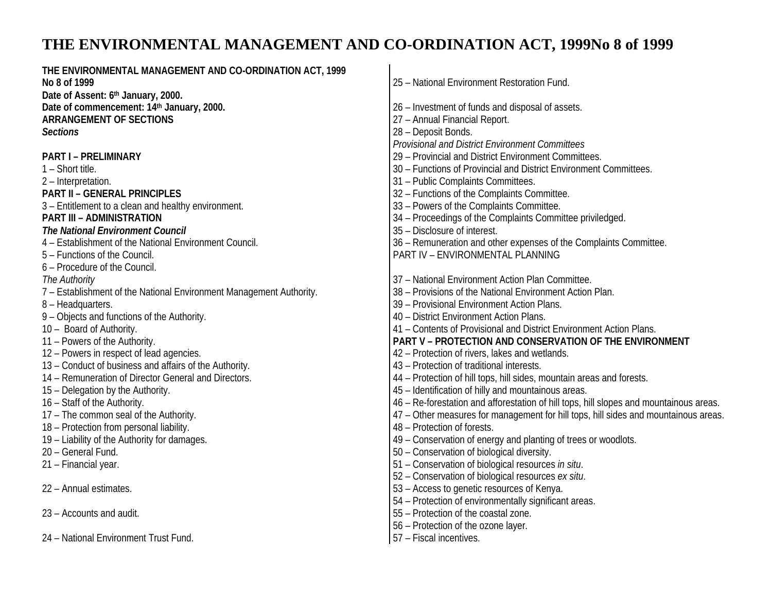# **THE ENVIRONMENTAL MANAGEMENT AND CO-ORDINATION ACT, 1999No 8 of 1999**

| THE ENVIRONMENTAL MANAGEMENT AND CO-ORDINATION ACT, 1999            |                                                                                        |  |
|---------------------------------------------------------------------|----------------------------------------------------------------------------------------|--|
| No 8 of 1999                                                        | 25 - National Environment Restoration Fund.                                            |  |
| Date of Assent: 6th January, 2000.                                  |                                                                                        |  |
| Date of commencement: 14th January, 2000.                           | 26 - Investment of funds and disposal of assets.                                       |  |
| <b>ARRANGEMENT OF SECTIONS</b>                                      | 27 - Annual Financial Report.                                                          |  |
| <b>Sections</b>                                                     | 28 - Deposit Bonds.                                                                    |  |
|                                                                     | <b>Provisional and District Environment Committees</b>                                 |  |
| <b>PART I - PRELIMINARY</b>                                         | 29 - Provincial and District Environment Committees.                                   |  |
| 1 - Short title.                                                    | 30 - Functions of Provincial and District Environment Committees.                      |  |
| 2 - Interpretation.                                                 | 31 - Public Complaints Committees.                                                     |  |
| <b>PART II - GENERAL PRINCIPLES</b>                                 | 32 - Functions of the Complaints Committee.                                            |  |
| 3 - Entitlement to a clean and healthy environment.                 | 33 - Powers of the Complaints Committee.                                               |  |
| <b>PART III - ADMINISTRATION</b>                                    | 34 - Proceedings of the Complaints Committee priviledged.                              |  |
| <b>The National Environment Council</b>                             | 35 - Disclosure of interest.                                                           |  |
| 4 - Establishment of the National Environment Council.              | 36 - Remuneration and other expenses of the Complaints Committee.                      |  |
| 5 - Functions of the Council.                                       | PART IV - ENVIRONMENTAL PLANNING                                                       |  |
| 6 - Procedure of the Council.                                       |                                                                                        |  |
| The Authority                                                       | 37 - National Environment Action Plan Committee.                                       |  |
| 7 - Establishment of the National Environment Management Authority. | 38 - Provisions of the National Environment Action Plan.                               |  |
| 8 - Headquarters.                                                   | 39 - Provisional Environment Action Plans.                                             |  |
| 9 - Objects and functions of the Authority.                         | 40 - District Environment Action Plans.                                                |  |
| 10 - Board of Authority.                                            | 41 - Contents of Provisional and District Environment Action Plans.                    |  |
| 11 - Powers of the Authority.                                       | PART V - PROTECTION AND CONSERVATION OF THE ENVIRONMENT                                |  |
| 12 - Powers in respect of lead agencies.                            | 42 – Protection of rivers, lakes and wetlands.                                         |  |
| 13 - Conduct of business and affairs of the Authority.              | 43 - Protection of traditional interests.                                              |  |
| 14 - Remuneration of Director General and Directors.                | 44 - Protection of hill tops, hill sides, mountain areas and forests.                  |  |
| 15 - Delegation by the Authority.                                   | 45 - Identification of hilly and mountainous areas.                                    |  |
| 16 - Staff of the Authority.                                        | 46 - Re-forestation and afforestation of hill tops, hill slopes and mountainous areas. |  |
| 17 - The common seal of the Authority.                              | 47 - Other measures for management for hill tops, hill sides and mountainous areas.    |  |
| 18 - Protection from personal liability.                            | 48 - Protection of forests.                                                            |  |
| 19 - Liability of the Authority for damages.                        | 49 - Conservation of energy and planting of trees or woodlots.                         |  |
| 20 - General Fund.                                                  | 50 - Conservation of biological diversity.                                             |  |
| 21 - Financial year.                                                | 51 - Conservation of biological resources in situ.                                     |  |
|                                                                     | 52 - Conservation of biological resources ex situ.                                     |  |
| 22 - Annual estimates.                                              | 53 - Access to genetic resources of Kenya.                                             |  |
|                                                                     | 54 - Protection of environmentally significant areas.                                  |  |
| 23 - Accounts and audit.                                            | 55 - Protection of the coastal zone.                                                   |  |
|                                                                     | 56 - Protection of the ozone layer.                                                    |  |
|                                                                     |                                                                                        |  |
| 24 - National Environment Trust Fund.                               | 57 - Fiscal incentives.                                                                |  |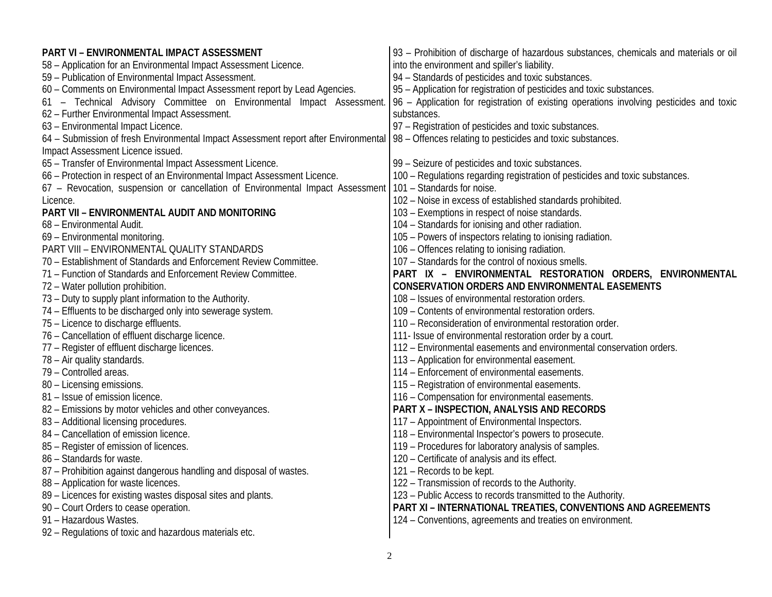| PART VI - ENVIRONMENTAL IMPACT ASSESSMENT                                           | 93 - Prohibition of discharge of hazardous substances, chemicals and materials or oil   |
|-------------------------------------------------------------------------------------|-----------------------------------------------------------------------------------------|
| 58 - Application for an Environmental Impact Assessment Licence.                    | into the environment and spiller's liability.                                           |
| 59 - Publication of Environmental Impact Assessment.                                | 94 - Standards of pesticides and toxic substances.                                      |
| 60 - Comments on Environmental Impact Assessment report by Lead Agencies.           | 95 - Application for registration of pesticides and toxic substances.                   |
| 61 - Technical Advisory Committee on Environmental Impact Assessment.               | 96 - Application for registration of existing operations involving pesticides and toxic |
| 62 - Further Environmental Impact Assessment.                                       | substances.                                                                             |
| 63 - Environmental Impact Licence.                                                  | 97 - Registration of pesticides and toxic substances.                                   |
| 64 - Submission of fresh Environmental Impact Assessment report after Environmental | 98 - Offences relating to pesticides and toxic substances.                              |
| Impact Assessment Licence issued.                                                   |                                                                                         |
| 65 - Transfer of Environmental Impact Assessment Licence.                           | 99 - Seizure of pesticides and toxic substances.                                        |
| 66 - Protection in respect of an Environmental Impact Assessment Licence.           | 100 - Regulations regarding registration of pesticides and toxic substances.            |
| 67 - Revocation, suspension or cancellation of Environmental Impact Assessment      | 101 - Standards for noise.                                                              |
| Licence.                                                                            | 102 - Noise in excess of established standards prohibited.                              |
| PART VII - ENVIRONMENTAL AUDIT AND MONITORING                                       | 103 - Exemptions in respect of noise standards.                                         |
| 68 - Environmental Audit.                                                           | 104 - Standards for ionising and other radiation.                                       |
| 69 - Environmental monitoring.                                                      | 105 - Powers of inspectors relating to ionising radiation.                              |
| PART VIII - ENVIRONMENTAL QUALITY STANDARDS                                         | 106 - Offences relating to ionising radiation.                                          |
| 70 - Establishment of Standards and Enforcement Review Committee.                   | 107 - Standards for the control of noxious smells.                                      |
| 71 - Function of Standards and Enforcement Review Committee.                        | PART IX - ENVIRONMENTAL RESTORATION ORDERS, ENVIRONMENTAL                               |
| 72 - Water pollution prohibition.                                                   | <b>CONSERVATION ORDERS AND ENVIRONMENTAL EASEMENTS</b>                                  |
| 73 - Duty to supply plant information to the Authority.                             | 108 - Issues of environmental restoration orders.                                       |
| 74 - Effluents to be discharged only into sewerage system.                          | 109 - Contents of environmental restoration orders.                                     |
| 75 - Licence to discharge effluents.                                                | 110 - Reconsideration of environmental restoration order.                               |
| 76 - Cancellation of effluent discharge licence.                                    | 111- Issue of environmental restoration order by a court.                               |
| 77 - Register of effluent discharge licences.                                       | 112 - Environmental easements and environmental conservation orders.                    |
| 78 - Air quality standards.                                                         | 113 - Application for environmental easement.                                           |
| 79 - Controlled areas.                                                              | 114 - Enforcement of environmental easements.                                           |
| 80 - Licensing emissions.                                                           | 115 - Registration of environmental easements.                                          |
| 81 - Issue of emission licence.                                                     | 116 - Compensation for environmental easements.                                         |
| 82 - Emissions by motor vehicles and other conveyances.                             | <b>PART X - INSPECTION, ANALYSIS AND RECORDS</b>                                        |
| 83 - Additional licensing procedures.                                               | 117 - Appointment of Environmental Inspectors.                                          |
| 84 - Cancellation of emission licence.                                              | 118 - Environmental Inspector's powers to prosecute.                                    |
| 85 - Register of emission of licences.                                              | 119 - Procedures for laboratory analysis of samples.                                    |
| 86 - Standards for waste.                                                           | 120 - Certificate of analysis and its effect.                                           |
| 87 - Prohibition against dangerous handling and disposal of wastes.                 | 121 – Records to be kept.                                                               |
| 88 - Application for waste licences.                                                | 122 - Transmission of records to the Authority.                                         |
| 89 - Licences for existing wastes disposal sites and plants.                        | 123 - Public Access to records transmitted to the Authority.                            |
| 90 - Court Orders to cease operation.                                               | <b>PART XI - INTERNATIONAL TREATIES, CONVENTIONS AND AGREEMENTS</b>                     |
| 91 - Hazardous Wastes.                                                              | 124 - Conventions, agreements and treaties on environment.                              |
| 92 - Regulations of toxic and hazardous materials etc.                              |                                                                                         |
|                                                                                     |                                                                                         |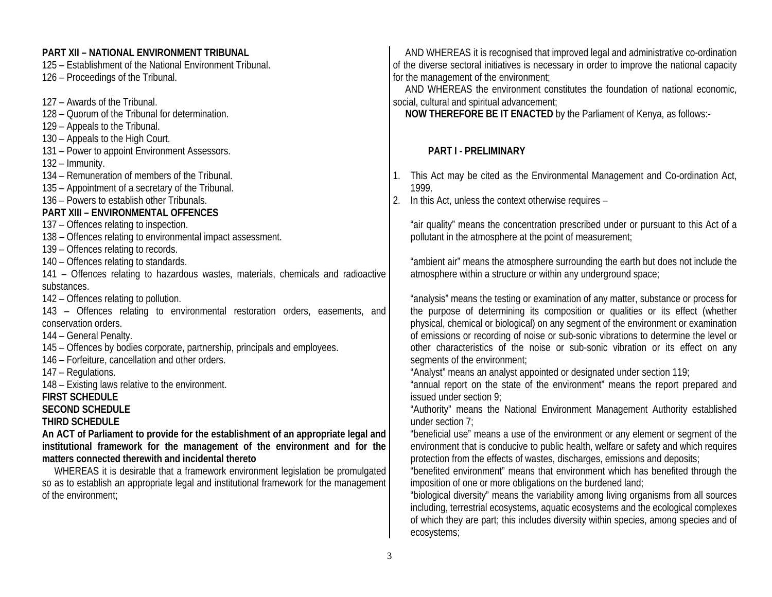#### **PART XII – NATIONAL ENVIRONMENT TRIBUNAL**

125 – Establishment of the National Environment Tribunal. 126 – Proceedings of the Tribunal.

127 – Awards of the Tribunal.

- 128 Quorum of the Tribunal for determination.
- 129 Appeals to the Tribunal.
- 130 Appeals to the High Court.
- 131 Power to appoint Environment Assessors.

132 – Immunity.

- 134 Remuneration of members of the Tribunal.
- 135 Appointment of a secretary of the Tribunal.
- 136 Powers to establish other Tribunals.

# **PART XIII – ENVIRONMENTAL OFFENCES**

137 – Offences relating to inspection.

- 138 Offences relating to environmental impact assessment.
- 139 Offences relating to records.
- 140 Offences relating to standards.
- 141 Offences relating to hazardous wastes, materials, chemicals and radioactive substances.
- 142 Offences relating to pollution.
- 143 Offences relating to environmental restoration orders, easements, and conservation orders.

144 – General Penalty.

145 – Offences by bodies corporate, partnership, principals and employees.

146 – Forfeiture, cancellation and other orders.

147 – Regulations.

148 – Existing laws relative to the environment.

#### **FIRST SCHEDULE**

#### **SECOND SCHEDULE**

**THIRD SCHEDULE**

**An ACT of Parliament to provide for the establishment of an appropriate legal and institutional framework for the management of the environment and for the matters connected therewith and incidental thereto** 

 WHEREAS it is desirable that a framework environment legislation be promulgated so as to establish an appropriate legal and institutional framework for the management of the environment;

 AND WHEREAS it is recognised that improved legal and administrative co-ordination of the diverse sectoral initiatives is necessary in order to improve the national capacity for the management of the environment;

 AND WHEREAS the environment constitutes the foundation of national economic, social, cultural and spiritual advancement;

**NOW THEREFORE BE IT ENACTED** by the Parliament of Kenya, as follows:-

# **PART I - PRELIMINARY**

- 1. This Act may be cited as the Environmental Management and Co-ordination Act, 1999.
- 2. In this Act, unless the context otherwise requires –

"air quality" means the concentration prescribed under or pursuant to this Act of a pollutant in the atmosphere at the point of measurement;

"ambient air" means the atmosphere surrounding the earth but does not include the atmosphere within a structure or within any underground space;

"analysis" means the testing or examination of any matter, substance or process for the purpose of determining its composition or qualities or its effect (whether physical, chemical or biological) on any segment of the environment or examination of emissions or recording of noise or sub-sonic vibrations to determine the level or other characteristics of the noise or sub-sonic vibration or its effect on any segments of the environment;

"Analyst" means an analyst appointed or designated under section 119;

"annual report on the state of the environment" means the report prepared and issued under section 9;

"Authority" means the National Environment Management Authority established under section 7;

"beneficial use" means a use of the environment or any element or segment of the environment that is conducive to public health, welfare or safety and which requires protection from the effects of wastes, discharges, emissions and deposits;

"benefited environment" means that environment which has benefited through the imposition of one or more obligations on the burdened land;

"biological diversity" means the variability among living organisms from all sources including, terrestrial ecosystems, aquatic ecosystems and the ecological complexes of which they are part; this includes diversity within species, among species and of ecosystems;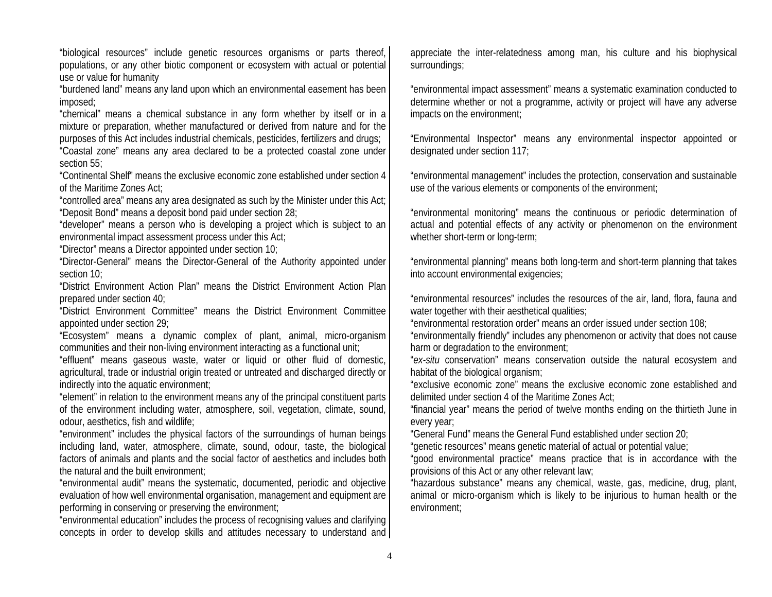"biological resources" include genetic resources organisms or parts thereof, populations, or any other biotic component or ecosystem with actual or potential use or value for humanity

"burdened land" means any land upon which an environmental easement has been imposed;

"chemical" means a chemical substance in any form whether by itself or in a mixture or preparation, whether manufactured or derived from nature and for the purposes of this Act includes industrial chemicals, pesticides, fertilizers and drugs; "Coastal zone" means any area declared to be a protected coastal zone under section 55;

"Continental Shelf" means the exclusive economic zone established under section 4 of the Maritime Zones Act;

"controlled area" means any area designated as such by the Minister under this Act; "Deposit Bond" means a deposit bond paid under section 28;

"developer" means a person who is developing a project which is subject to an environmental impact assessment process under this Act;

"Director" means a Director appointed under section 10;

"Director-General" means the Director-General of the Authority appointed under section 10;

"District Environment Action Plan" means the District Environment Action Plan prepared under section 40;

"District Environment Committee" means the District Environment Committee appointed under section 29;

"Ecosystem" means a dynamic complex of plant, animal, micro-organism communities and their non-living environment interacting as a functional unit;

"effluent" means gaseous waste, water or liquid or other fluid of domestic, agricultural, trade or industrial origin treated or untreated and discharged directly or indirectly into the aquatic environment;

"element" in relation to the environment means any of the principal constituent parts of the environment including water, atmosphere, soil, vegetation, climate, sound, odour, aesthetics, fish and wildlife;

"environment" includes the physical factors of the surroundings of human beings including land, water, atmosphere, climate, sound, odour, taste, the biological factors of animals and plants and the social factor of aesthetics and includes both the natural and the built environment;

"environmental audit" means the systematic, documented, periodic and objective evaluation of how well environmental organisation, management and equipment are performing in conserving or preserving the environment;

"environmental education" includes the process of recognising values and clarifying concepts in order to develop skills and attitudes necessary to understand and

appreciate the inter-relatedness among man, his culture and his biophysical surroundings;

"environmental impact assessment" means a systematic examination conducted to determine whether or not a programme, activity or project will have any adverse impacts on the environment;

"Environmental Inspector" means any environmental inspector appointed or designated under section 117;

"environmental management" includes the protection, conservation and sustainable use of the various elements or components of the environment;

"environmental monitoring" means the continuous or periodic determination of actual and potential effects of any activity or phenomenon on the environment whether short-term or long-term;

"environmental planning" means both long-term and short-term planning that takes into account environmental exigencies;

"environmental resources" includes the resources of the air, land, flora, fauna and water together with their aesthetical qualities;

"environmental restoration order" means an order issued under section 108;

"environmentally friendly" includes any phenomenon or activity that does not cause harm or degradation to the environment;

"*ex-situ* conservation" means conservation outside the natural ecosystem and habitat of the biological organism;

"exclusive economic zone" means the exclusive economic zone established and delimited under section 4 of the Maritime Zones Act;

"financial year" means the period of twelve months ending on the thirtieth June in every year;

"General Fund" means the General Fund established under section 20;

"genetic resources" means genetic material of actual or potential value;

"good environmental practice" means practice that is in accordance with the provisions of this Act or any other relevant law;

"hazardous substance" means any chemical, waste, gas, medicine, drug, plant, animal or micro-organism which is likely to be injurious to human health or the environment;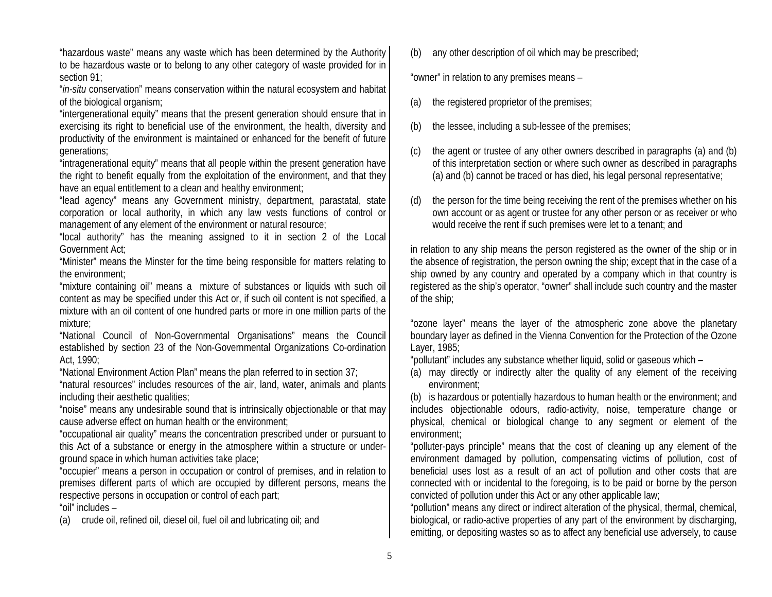"hazardous waste" means any waste which has been determined by the Authority to be hazardous waste or to belong to any other category of waste provided for in section 91;

"*in-situ* conservation" means conservation within the natural ecosystem and habitat of the biological organism;

"intergenerational equity" means that the present generation should ensure that in exercising its right to beneficial use of the environment, the health, diversity and productivity of the environment is maintained or enhanced for the benefit of future generations;

"intragenerational equity" means that all people within the present generation have the right to benefit equally from the exploitation of the environment, and that they have an equal entitlement to a clean and healthy environment;

"lead agency" means any Government ministry, department, parastatal, state corporation or local authority, in which any law vests functions of control or management of any element of the environment or natural resource;

"local authority" has the meaning assigned to it in section 2 of the Local Government Act;

"Minister" means the Minster for the time being responsible for matters relating to the environment;

"mixture containing oil" means a mixture of substances or liquids with such oil content as may be specified under this Act or, if such oil content is not specified, a mixture with an oil content of one hundred parts or more in one million parts of the mixture;

"National Council of Non-Governmental Organisations" means the Council established by section 23 of the Non-Governmental Organizations Co-ordination Act, 1990;

"National Environment Action Plan" means the plan referred to in section 37;

"natural resources" includes resources of the air, land, water, animals and plants including their aesthetic qualities;

"noise" means any undesirable sound that is intrinsically objectionable or that may cause adverse effect on human health or the environment;

"occupational air quality" means the concentration prescribed under or pursuant to this Act of a substance or energy in the atmosphere within a structure or underground space in which human activities take place;

"occupier" means a person in occupation or control of premises, and in relation to premises different parts of which are occupied by different persons, means the respective persons in occupation or control of each part;

"oil" includes –

(a) crude oil, refined oil, diesel oil, fuel oil and lubricating oil; and

(b) any other description of oil which may be prescribed;

"owner" in relation to any premises means –

- (a) the registered proprietor of the premises;
- (b) the lessee, including a sub-lessee of the premises;
- (c) the agent or trustee of any other owners described in paragraphs (a) and (b) of this interpretation section or where such owner as described in paragraphs (a) and (b) cannot be traced or has died, his legal personal representative;
- (d) the person for the time being receiving the rent of the premises whether on his own account or as agent or trustee for any other person or as receiver or who would receive the rent if such premises were let to a tenant; and

in relation to any ship means the person registered as the owner of the ship or in the absence of registration, the person owning the ship; except that in the case of a ship owned by any country and operated by a company which in that country is registered as the ship's operator, "owner" shall include such country and the master of the ship;

"ozone layer" means the layer of the atmospheric zone above the planetary boundary layer as defined in the Vienna Convention for the Protection of the Ozone Layer, 1985;

"pollutant" includes any substance whether liquid, solid or gaseous which –

(a) may directly or indirectly alter the quality of any element of the receiving environment;

(b) is hazardous or potentially hazardous to human health or the environment; and includes objectionable odours, radio-activity, noise, temperature change or physical, chemical or biological change to any segment or element of the environment;

"polluter-pays principle" means that the cost of cleaning up any element of the environment damaged by pollution, compensating victims of pollution, cost of beneficial uses lost as a result of an act of pollution and other costs that are connected with or incidental to the foregoing, is to be paid or borne by the person convicted of pollution under this Act or any other applicable law;

"pollution" means any direct or indirect alteration of the physical, thermal, chemical, biological, or radio-active properties of any part of the environment by discharging, emitting, or depositing wastes so as to affect any beneficial use adversely, to cause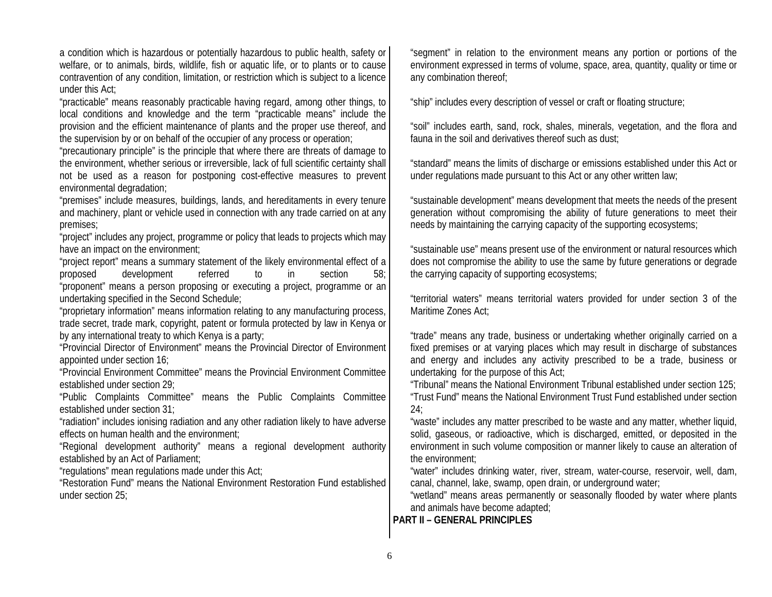a condition which is hazardous or potentially hazardous to public health, safety or welfare, or to animals, birds, wildlife, fish or aquatic life, or to plants or to cause contravention of any condition, limitation, or restriction which is subject to a licence under this Act;

"practicable" means reasonably practicable having regard, among other things, to local conditions and knowledge and the term "practicable means" include the provision and the efficient maintenance of plants and the proper use thereof, and the supervision by or on behalf of the occupier of any process or operation;

"precautionary principle" is the principle that where there are threats of damage to the environment, whether serious or irreversible, lack of full scientific certainty shall not be used as a reason for postponing cost-effective measures to prevent environmental degradation;

"premises" include measures, buildings, lands, and hereditaments in every tenure and machinery, plant or vehicle used in connection with any trade carried on at any premises;

"project" includes any project, programme or policy that leads to projects which may have an impact on the environment;

"project report" means a summary statement of the likely environmental effect of a proposed development referred to in section 58; "proponent" means a person proposing or executing a project, programme or an undertaking specified in the Second Schedule;

"proprietary information" means information relating to any manufacturing process, trade secret, trade mark, copyright, patent or formula protected by law in Kenya or by any international treaty to which Kenya is a party;

"Provincial Director of Environment" means the Provincial Director of Environment appointed under section 16;

"Provincial Environment Committee" means the Provincial Environment Committee established under section 29;

"Public Complaints Committee" means the Public Complaints Committee established under section 31;

"radiation" includes ionising radiation and any other radiation likely to have adverse effects on human health and the environment;

"Regional development authority" means a regional development authority established by an Act of Parliament;

"regulations" mean regulations made under this Act;

"Restoration Fund" means the National Environment Restoration Fund established under section 25;

"segment" in relation to the environment means any portion or portions of the environment expressed in terms of volume, space, area, quantity, quality or time or any combination thereof;

"ship" includes every description of vessel or craft or floating structure;

"soil" includes earth, sand, rock, shales, minerals, vegetation, and the flora and fauna in the soil and derivatives thereof such as dust;

"standard" means the limits of discharge or emissions established under this Act or under regulations made pursuant to this Act or any other written law;

"sustainable development" means development that meets the needs of the present generation without compromising the ability of future generations to meet their needs by maintaining the carrying capacity of the supporting ecosystems;

"sustainable use" means present use of the environment or natural resources which does not compromise the ability to use the same by future generations or degrade the carrying capacity of supporting ecosystems;

"territorial waters" means territorial waters provided for under section 3 of the Maritime Zones Act;

"trade" means any trade, business or undertaking whether originally carried on a fixed premises or at varying places which may result in discharge of substances and energy and includes any activity prescribed to be a trade, business or undertaking for the purpose of this Act;

"Tribunal" means the National Environment Tribunal established under section 125; "Trust Fund" means the National Environment Trust Fund established under section 24;

"waste" includes any matter prescribed to be waste and any matter, whether liquid, solid, gaseous, or radioactive, which is discharged, emitted, or deposited in the environment in such volume composition or manner likely to cause an alteration of the environment;

"water" includes drinking water, river, stream, water-course, reservoir, well, dam, canal, channel, lake, swamp, open drain, or underground water;

"wetland" means areas permanently or seasonally flooded by water where plants and animals have become adapted;

**PART II – GENERAL PRINCIPLES**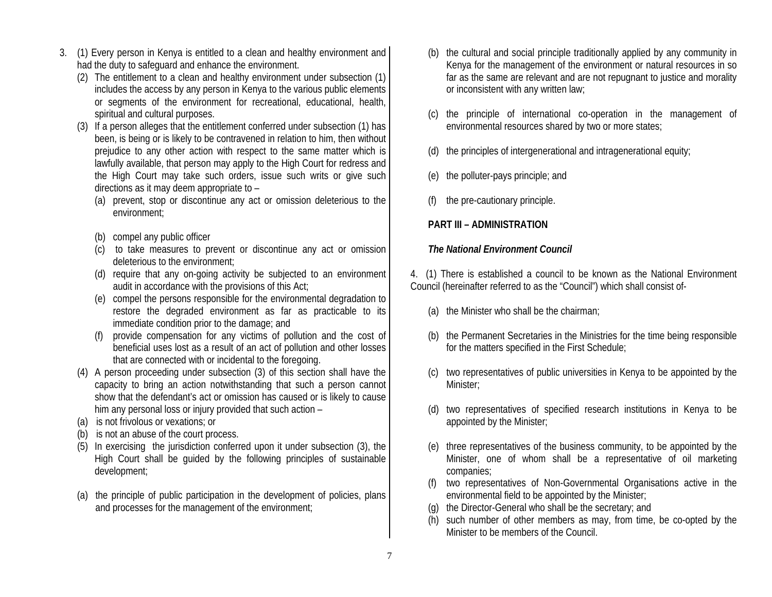- 3. (1) Every person in Kenya is entitled to a clean and healthy environment and had the duty to safeguard and enhance the environment.
	- (2) The entitlement to a clean and healthy environment under subsection (1) includes the access by any person in Kenya to the various public elements or segments of the environment for recreational, educational, health, spiritual and cultural purposes.
	- (3) If a person alleges that the entitlement conferred under subsection (1) has been, is being or is likely to be contravened in relation to him, then without prejudice to any other action with respect to the same matter which is lawfully available, that person may apply to the High Court for redress and the High Court may take such orders, issue such writs or give such directions as it may deem appropriate to –
		- (a) prevent, stop or discontinue any act or omission deleterious to the environment;
		- (b) compel any public officer
		- (c) to take measures to prevent or discontinue any act or omission deleterious to the environment;
		- (d) require that any on-going activity be subjected to an environment audit in accordance with the provisions of this Act;
		- (e) compel the persons responsible for the environmental degradation to restore the degraded environment as far as practicable to its immediate condition prior to the damage; and
		- provide compensation for any victims of pollution and the cost of beneficial uses lost as a result of an act of pollution and other losses that are connected with or incidental to the foregoing.
	- (4) A person proceeding under subsection (3) of this section shall have the capacity to bring an action notwithstanding that such a person cannot show that the defendant's act or omission has caused or is likely to cause him any personal loss or injury provided that such action –
	- (a) is not frivolous or vexations; or
	- (b) is not an abuse of the court process.
	- (5) In exercising the jurisdiction conferred upon it under subsection (3), the High Court shall be guided by the following principles of sustainable development;
	- (a) the principle of public participation in the development of policies, plans and processes for the management of the environment;
- (b) the cultural and social principle traditionally applied by any community in Kenya for the management of the environment or natural resources in so far as the same are relevant and are not repugnant to justice and morality or inconsistent with any written law;
- (c) the principle of international co-operation in the management of environmental resources shared by two or more states;
- (d) the principles of intergenerational and intragenerational equity;
- (e) the polluter-pays principle; and
- the pre-cautionary principle.

# **PART III – ADMINISTRATION**

## *The National Environment Council*

4. (1) There is established a council to be known as the National Environment Council (hereinafter referred to as the "Council") which shall consist of-

- (a) the Minister who shall be the chairman;
- (b) the Permanent Secretaries in the Ministries for the time being responsible for the matters specified in the First Schedule;
- (c) two representatives of public universities in Kenya to be appointed by the Minister;
- (d) two representatives of specified research institutions in Kenya to be appointed by the Minister;
- (e) three representatives of the business community, to be appointed by the Minister, one of whom shall be a representative of oil marketing companies;
- (f) two representatives of Non-Governmental Organisations active in the environmental field to be appointed by the Minister;
- (g) the Director-General who shall be the secretary; and
- (h) such number of other members as may, from time, be co-opted by the Minister to be members of the Council.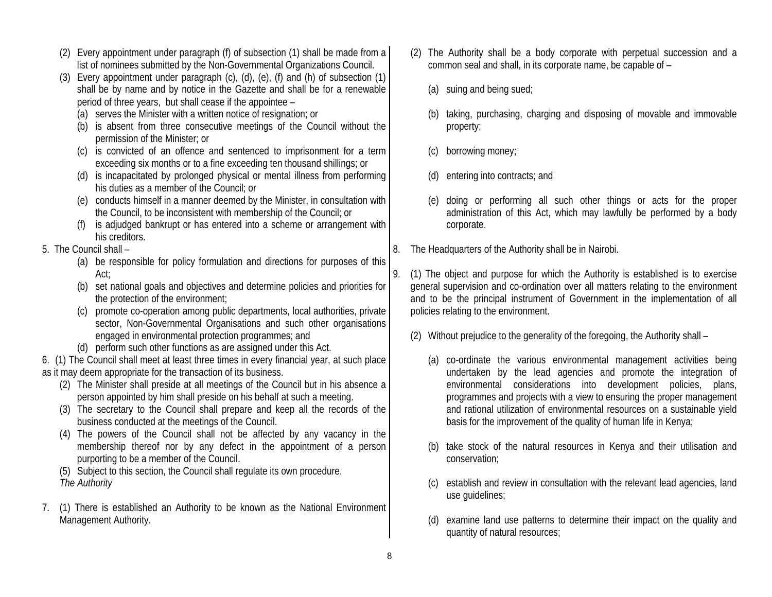- (2) Every appointment under paragraph (f) of subsection (1) shall be made from a list of nominees submitted by the Non-Governmental Organizations Council.
- (3) Every appointment under paragraph (c), (d), (e), (f) and (h) of subsection (1) shall be by name and by notice in the Gazette and shall be for a renewable period of three years, but shall cease if the appointee –
	- (a) serves the Minister with a written notice of resignation; or
	- (b) is absent from three consecutive meetings of the Council without the permission of the Minister; or
	- (c) is convicted of an offence and sentenced to imprisonment for a term exceeding six months or to a fine exceeding ten thousand shillings; or
	- (d) is incapacitated by prolonged physical or mental illness from performing his duties as a member of the Council; or
	- (e) conducts himself in a manner deemed by the Minister, in consultation with the Council, to be inconsistent with membership of the Council; or
	- (f) is adjudged bankrupt or has entered into a scheme or arrangement with his creditors.
- 5. The Council shall
	- (a) be responsible for policy formulation and directions for purposes of this Act;
	- (b) set national goals and objectives and determine policies and priorities for the protection of the environment;
	- (c) promote co-operation among public departments, local authorities, private sector, Non-Governmental Organisations and such other organisations engaged in environmental protection programmes; and
	- (d) perform such other functions as are assigned under this Act.

6. (1) The Council shall meet at least three times in every financial year, at such place as it may deem appropriate for the transaction of its business.

- (2) The Minister shall preside at all meetings of the Council but in his absence a person appointed by him shall preside on his behalf at such a meeting.
- (3) The secretary to the Council shall prepare and keep all the records of the business conducted at the meetings of the Council.
- (4) The powers of the Council shall not be affected by any vacancy in the membership thereof nor by any defect in the appointment of a person purporting to be a member of the Council.
- (5) Subject to this section, the Council shall regulate its own procedure. *The Authority*
- 7. (1) There is established an Authority to be known as the National Environment Management Authority.
- (2) The Authority shall be a body corporate with perpetual succession and a common seal and shall, in its corporate name, be capable of –
	- (a) suing and being sued;
	- (b) taking, purchasing, charging and disposing of movable and immovable property;
	- (c) borrowing money;
	- (d) entering into contracts; and
	- (e) doing or performing all such other things or acts for the proper administration of this Act, which may lawfully be performed by a body corporate.
- 8. The Headquarters of the Authority shall be in Nairobi.
- 9. (1) The object and purpose for which the Authority is established is to exercise general supervision and co-ordination over all matters relating to the environment and to be the principal instrument of Government in the implementation of all policies relating to the environment.
	- (2) Without prejudice to the generality of the foregoing, the Authority shall
		- (a) co-ordinate the various environmental management activities being undertaken by the lead agencies and promote the integration of environmental considerations into development policies, plans, programmes and projects with a view to ensuring the proper management and rational utilization of environmental resources on a sustainable yield basis for the improvement of the quality of human life in Kenya;
		- (b) take stock of the natural resources in Kenya and their utilisation and conservation;
		- (c) establish and review in consultation with the relevant lead agencies, land use guidelines;
		- (d) examine land use patterns to determine their impact on the quality and quantity of natural resources;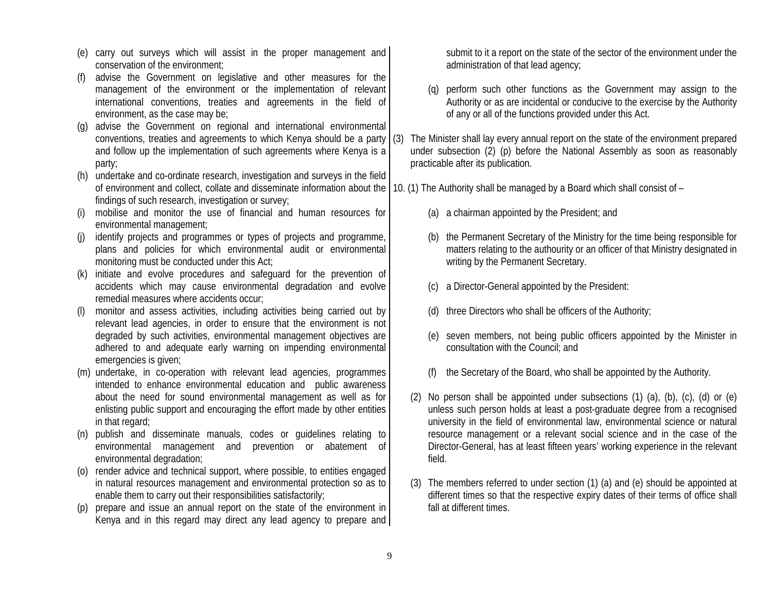- (e) carry out surveys which will assist in the proper management and conservation of the environment;
- (f) advise the Government on legislative and other measures for the management of the environment or the implementation of relevant international conventions, treaties and agreements in the field of environment, as the case may be;
- (g) advise the Government on regional and international environmental conventions, treaties and agreements to which Kenya should be a party  $(3)$ and follow up the implementation of such agreements where Kenya is a party;
- (h) undertake and co-ordinate research, investigation and surveys in the field of environment and collect, collate and disseminate information about the |10. (1) The Authority shall be managed by a Board which shall consist of – findings of such research, investigation or survey;
- (i) mobilise and monitor the use of financial and human resources for environmental management;
- (j) identify projects and programmes or types of projects and programme, plans and policies for which environmental audit or environmental monitoring must be conducted under this Act;
- (k) initiate and evolve procedures and safeguard for the prevention of accidents which may cause environmental degradation and evolve remedial measures where accidents occur;
- (l) monitor and assess activities, including activities being carried out by relevant lead agencies, in order to ensure that the environment is not degraded by such activities, environmental management objectives are adhered to and adequate early warning on impending environmental emergencies is given;
- (m) undertake, in co-operation with relevant lead agencies, programmes intended to enhance environmental education and public awareness about the need for sound environmental management as well as for enlisting public support and encouraging the effort made by other entities in that regard;
- (n) publish and disseminate manuals, codes or guidelines relating to environmental management and prevention or abatement of environmental degradation;
- (o) render advice and technical support, where possible, to entities engaged in natural resources management and environmental protection so as to enable them to carry out their responsibilities satisfactorily;
- (p) prepare and issue an annual report on the state of the environment in Kenya and in this regard may direct any lead agency to prepare and

submit to it a report on the state of the sector of the environment under the administration of that lead agency;

- (q) perform such other functions as the Government may assign to the Authority or as are incidental or conducive to the exercise by the Authority of any or all of the functions provided under this Act.
- The Minister shall lay every annual report on the state of the environment prepared under subsection (2) (p) before the National Assembly as soon as reasonably practicable after its publication.
- - (a) a chairman appointed by the President; and
	- (b) the Permanent Secretary of the Ministry for the time being responsible for matters relating to the authourity or an officer of that Ministry designated in writing by the Permanent Secretary.
	- (c) a Director-General appointed by the President:
	- (d) three Directors who shall be officers of the Authority;
	- (e) seven members, not being public officers appointed by the Minister in consultation with the Council; and
	- (f) the Secretary of the Board, who shall be appointed by the Authority.
	- (2) No person shall be appointed under subsections (1) (a), (b), (c), (d) or (e) unless such person holds at least a post-graduate degree from a recognised university in the field of environmental law, environmental science or natural resource management or a relevant social science and in the case of the Director-General, has at least fifteen years' working experience in the relevant field.
	- (3) The members referred to under section (1) (a) and (e) should be appointed at different times so that the respective expiry dates of their terms of office shall fall at different times.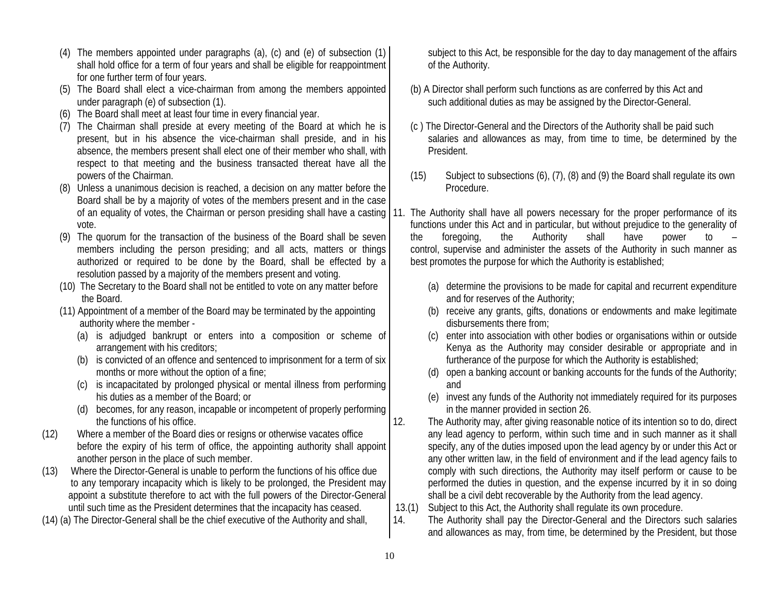- (4) The members appointed under paragraphs (a), (c) and (e) of subsection (1) shall hold office for a term of four years and shall be eligible for reappointment for one further term of four years.
- (5) The Board shall elect a vice-chairman from among the members appointed under paragraph (e) of subsection (1).
- (6) The Board shall meet at least four time in every financial year.
- (7) The Chairman shall preside at every meeting of the Board at which he is present, but in his absence the vice-chairman shall preside, and in his absence, the members present shall elect one of their member who shall, with respect to that meeting and the business transacted thereat have all the powers of the Chairman.
- (8) Unless a unanimous decision is reached, a decision on any matter before the Board shall be by a majority of votes of the members present and in the case vote.
- (9) The quorum for the transaction of the business of the Board shall be seven members including the person presiding; and all acts, matters or things authorized or required to be done by the Board, shall be effected by a resolution passed by a majority of the members present and voting.
- (10) The Secretary to the Board shall not be entitled to vote on any matter before the Board.
- (11) Appointment of a member of the Board may be terminated by the appointing authority where the member -
	- (a) is adjudged bankrupt or enters into a composition or scheme of arrangement with his creditors;
	- (b) is convicted of an offence and sentenced to imprisonment for a term of six months or more without the option of a fine;
	- (c) is incapacitated by prolonged physical or mental illness from performing his duties as a member of the Board; or
	- (d) becomes, for any reason, incapable or incompetent of properly performing the functions of his office.
- (12) Where a member of the Board dies or resigns or otherwise vacates office before the expiry of his term of office, the appointing authority shall appoint another person in the place of such member.
- (13) Where the Director-General is unable to perform the functions of his office due to any temporary incapacity which is likely to be prolonged, the President may appoint a substitute therefore to act with the full powers of the Director-General until such time as the President determines that the incapacity has ceased.
- (14) (a) The Director-General shall be the chief executive of the Authority and shall,

subject to this Act, be responsible for the day to day management of the affairs of the Authority.

- (b) A Director shall perform such functions as are conferred by this Act and such additional duties as may be assigned by the Director-General.
- (c ) The Director-General and the Directors of the Authority shall be paid such salaries and allowances as may, from time to time, be determined by the President.
- (15) Subject to subsections (6), (7), (8) and (9) the Board shall regulate its own Procedure.
- of an equality of votes, the Chairman or person presiding shall have a casting | 11. The Authority shall have all powers necessary for the proper performance of its functions under this Act and in particular, but without prejudice to the generality of the foregoing, the Authority shall have power to – control, supervise and administer the assets of the Authority in such manner as best promotes the purpose for which the Authority is established;
	- (a) determine the provisions to be made for capital and recurrent expenditure and for reserves of the Authority;
	- (b) receive any grants, gifts, donations or endowments and make legitimate disbursements there from;
	- (c) enter into association with other bodies or organisations within or outside Kenya as the Authority may consider desirable or appropriate and in furtherance of the purpose for which the Authority is established;
	- (d) open a banking account or banking accounts for the funds of the Authority; and
	- (e) invest any funds of the Authority not immediately required for its purposes in the manner provided in section 26.
	- 12. The Authority may, after giving reasonable notice of its intention so to do, direct any lead agency to perform, within such time and in such manner as it shall specify, any of the duties imposed upon the lead agency by or under this Act or any other written law, in the field of environment and if the lead agency fails to comply with such directions, the Authority may itself perform or cause to be performed the duties in question, and the expense incurred by it in so doing shall be a civil debt recoverable by the Authority from the lead agency.
	- 13.(1) Subject to this Act, the Authority shall regulate its own procedure.
	- 14. The Authority shall pay the Director-General and the Directors such salaries and allowances as may, from time, be determined by the President, but those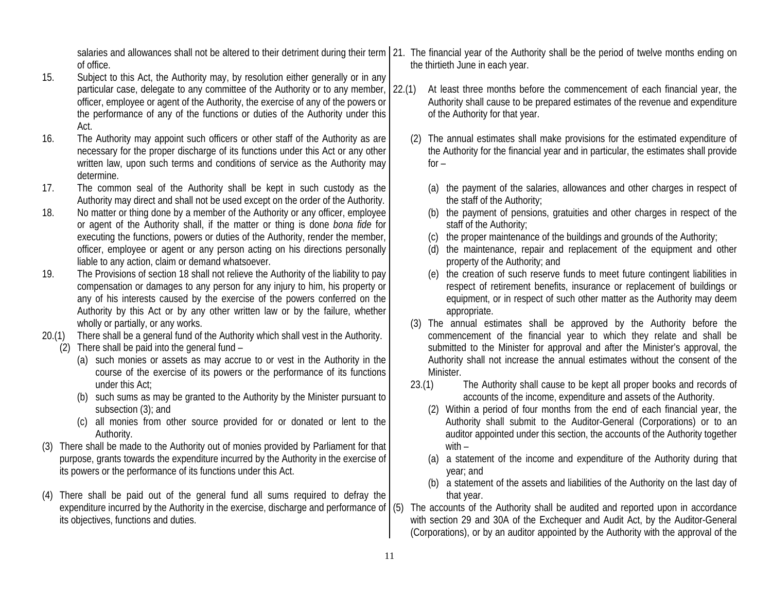of office.

- 15. Subject to this Act, the Authority may, by resolution either generally or in any particular case, delegate to any committee of the Authority or to any member, 22.(1) officer, employee or agent of the Authority, the exercise of any of the powers or the performance of any of the functions or duties of the Authority under this Act.
- 16. The Authority may appoint such officers or other staff of the Authority as are necessary for the proper discharge of its functions under this Act or any other written law, upon such terms and conditions of service as the Authority may determine.
- 17. The common seal of the Authority shall be kept in such custody as the Authority may direct and shall not be used except on the order of the Authority.
- 18. No matter or thing done by a member of the Authority or any officer, employee or agent of the Authority shall, if the matter or thing is done *bona fide* for executing the functions, powers or duties of the Authority, render the member, officer, employee or agent or any person acting on his directions personally liable to any action, claim or demand whatsoever.
- 19. The Provisions of section 18 shall not relieve the Authority of the liability to pay compensation or damages to any person for any injury to him, his property or any of his interests caused by the exercise of the powers conferred on the Authority by this Act or by any other written law or by the failure, whether wholly or partially, or any works.
- 20.(1) There shall be a general fund of the Authority which shall vest in the Authority.
	- (2) There shall be paid into the general fund
		- (a) such monies or assets as may accrue to or vest in the Authority in the course of the exercise of its powers or the performance of its functions under this Act;
		- (b) such sums as may be granted to the Authority by the Minister pursuant to subsection (3); and
		- (c) all monies from other source provided for or donated or lent to the Authority.
- (3) There shall be made to the Authority out of monies provided by Parliament for that purpose, grants towards the expenditure incurred by the Authority in the exercise of its powers or the performance of its functions under this Act.
- (4) There shall be paid out of the general fund all sums required to defray the expenditure incurred by the Authority in the exercise, discharge and performance of (5) its objectives, functions and duties.
- salaries and allowances shall not be altered to their detriment during their term | 21. The financial year of the Authority shall be the period of twelve months ending on the thirtieth June in each year.
	- At least three months before the commencement of each financial year, the Authority shall cause to be prepared estimates of the revenue and expenditure of the Authority for that year.
		- (2) The annual estimates shall make provisions for the estimated expenditure of the Authority for the financial year and in particular, the estimates shall provide  $for -$ 
			- (a) the payment of the salaries, allowances and other charges in respect of the staff of the Authority;
			- (b) the payment of pensions, gratuities and other charges in respect of the staff of the Authority;
			- (c) the proper maintenance of the buildings and grounds of the Authority;
			- (d) the maintenance, repair and replacement of the equipment and other property of the Authority; and
			- (e) the creation of such reserve funds to meet future contingent liabilities in respect of retirement benefits, insurance or replacement of buildings or equipment, or in respect of such other matter as the Authority may deem appropriate.
		- (3) The annual estimates shall be approved by the Authority before the commencement of the financial year to which they relate and shall be submitted to the Minister for approval and after the Minister's approval, the Authority shall not increase the annual estimates without the consent of the Minister.
		- 23.(1) The Authority shall cause to be kept all proper books and records of accounts of the income, expenditure and assets of the Authority.
			- (2) Within a period of four months from the end of each financial year, the Authority shall submit to the Auditor-General (Corporations) or to an auditor appointed under this section, the accounts of the Authority together with –
			- (a) a statement of the income and expenditure of the Authority during that year; and
			- (b) a statement of the assets and liabilities of the Authority on the last day of that year.
	- The accounts of the Authority shall be audited and reported upon in accordance with section 29 and 30A of the Exchequer and Audit Act, by the Auditor-General (Corporations), or by an auditor appointed by the Authority with the approval of the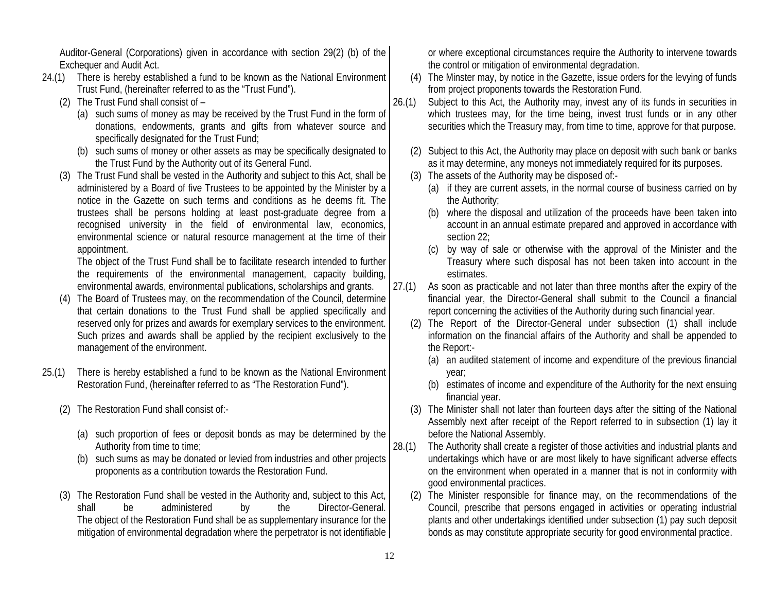Auditor-General (Corporations) given in accordance with section 29(2) (b) of the Exchequer and Audit Act.

- 24.(1) There is hereby established a fund to be known as the National Environment Trust Fund, (hereinafter referred to as the "Trust Fund").
	- (2) The Trust Fund shall consist of
		- (a) such sums of money as may be received by the Trust Fund in the form of donations, endowments, grants and gifts from whatever source and specifically designated for the Trust Fund;
		- (b) such sums of money or other assets as may be specifically designated to the Trust Fund by the Authority out of its General Fund.
	- (3) The Trust Fund shall be vested in the Authority and subject to this Act, shall be administered by a Board of five Trustees to be appointed by the Minister by a notice in the Gazette on such terms and conditions as he deems fit. The trustees shall be persons holding at least post-graduate degree from a recognised university in the field of environmental law, economics, environmental science or natural resource management at the time of their appointment.

The object of the Trust Fund shall be to facilitate research intended to further the requirements of the environmental management, capacity building, environmental awards, environmental publications, scholarships and grants.

- (4) The Board of Trustees may, on the recommendation of the Council, determine that certain donations to the Trust Fund shall be applied specifically and reserved only for prizes and awards for exemplary services to the environment. Such prizes and awards shall be applied by the recipient exclusively to the management of the environment.
- 25.(1) There is hereby established a fund to be known as the National Environment Restoration Fund, (hereinafter referred to as "The Restoration Fund").
	- (2) The Restoration Fund shall consist of:-
		- (a) such proportion of fees or deposit bonds as may be determined by the Authority from time to time;
		- (b) such sums as may be donated or levied from industries and other projects proponents as a contribution towards the Restoration Fund.
	- (3) The Restoration Fund shall be vested in the Authority and, subject to this Act, shall be administered by the Director-General. The object of the Restoration Fund shall be as supplementary insurance for the mitigation of environmental degradation where the perpetrator is not identifiable

or where exceptional circumstances require the Authority to intervene towards the control or mitigation of environmental degradation.

- (4) The Minster may, by notice in the Gazette, issue orders for the levying of funds from project proponents towards the Restoration Fund.
- 26.(1) Subject to this Act, the Authority may, invest any of its funds in securities in which trustees may, for the time being, invest trust funds or in any other securities which the Treasury may, from time to time, approve for that purpose.
	- (2) Subject to this Act, the Authority may place on deposit with such bank or banks as it may determine, any moneys not immediately required for its purposes.
	- (3) The assets of the Authority may be disposed of:-
		- (a) if they are current assets, in the normal course of business carried on by the Authority;
		- (b) where the disposal and utilization of the proceeds have been taken into account in an annual estimate prepared and approved in accordance with section 22;
		- (c) by way of sale or otherwise with the approval of the Minister and the Treasury where such disposal has not been taken into account in the estimates.
- 27.(1) As soon as practicable and not later than three months after the expiry of the financial year, the Director-General shall submit to the Council a financial report concerning the activities of the Authority during such financial year.
	- (2) The Report of the Director-General under subsection (1) shall include information on the financial affairs of the Authority and shall be appended to the Report:-
		- (a) an audited statement of income and expenditure of the previous financial year;
		- (b) estimates of income and expenditure of the Authority for the next ensuing financial year.
	- (3) The Minister shall not later than fourteen days after the sitting of the National Assembly next after receipt of the Report referred to in subsection (1) lay it before the National Assembly.
- 28.(1) The Authority shall create a register of those activities and industrial plants and undertakings which have or are most likely to have significant adverse effects on the environment when operated in a manner that is not in conformity with good environmental practices.
	- (2) The Minister responsible for finance may, on the recommendations of the Council, prescribe that persons engaged in activities or operating industrial plants and other undertakings identified under subsection (1) pay such deposit bonds as may constitute appropriate security for good environmental practice.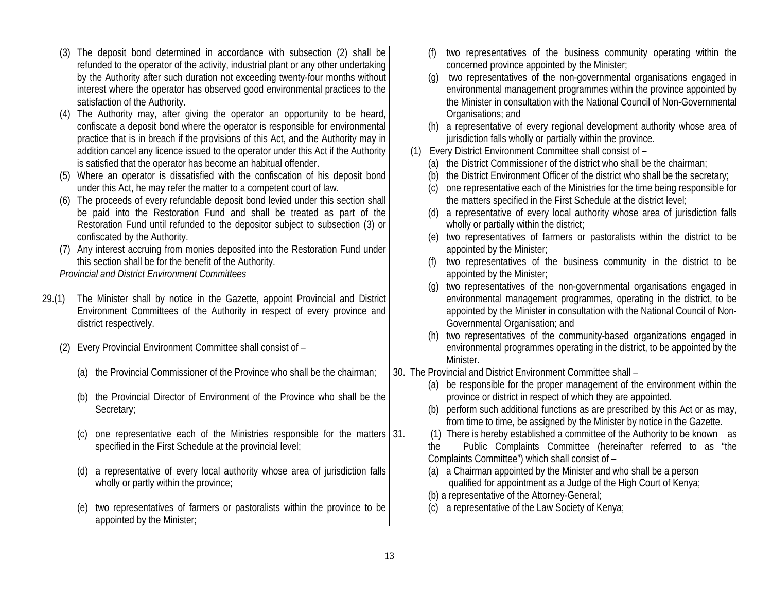- (3) The deposit bond determined in accordance with subsection (2) shall be refunded to the operator of the activity, industrial plant or any other undertaking by the Authority after such duration not exceeding twenty-four months without interest where the operator has observed good environmental practices to the satisfaction of the Authority.
- (4) The Authority may, after giving the operator an opportunity to be heard, confiscate a deposit bond where the operator is responsible for environmental practice that is in breach if the provisions of this Act, and the Authority may in addition cancel any licence issued to the operator under this Act if the Authority is satisfied that the operator has become an habitual offender.
- (5) Where an operator is dissatisfied with the confiscation of his deposit bond under this Act, he may refer the matter to a competent court of law.
- (6) The proceeds of every refundable deposit bond levied under this section shall be paid into the Restoration Fund and shall be treated as part of the Restoration Fund until refunded to the depositor subject to subsection (3) or confiscated by the Authority.
- (7) Any interest accruing from monies deposited into the Restoration Fund under this section shall be for the benefit of the Authority.

*Provincial and District Environment Committees* 

- 29.(1) The Minister shall by notice in the Gazette, appoint Provincial and District Environment Committees of the Authority in respect of every province and district respectively.
	- (2) Every Provincial Environment Committee shall consist of
		- (a) the Provincial Commissioner of the Province who shall be the chairman;
		- (b) the Provincial Director of Environment of the Province who shall be the Secretary;
		- (c) one representative each of the Ministries responsible for the matters  $\vert$  31. specified in the First Schedule at the provincial level;
		- (d) a representative of every local authority whose area of jurisdiction falls wholly or partly within the province;
		- (e) two representatives of farmers or pastoralists within the province to be appointed by the Minister;
- two representatives of the business community operating within the concerned province appointed by the Minister;
- (g) two representatives of the non-governmental organisations engaged in environmental management programmes within the province appointed by the Minister in consultation with the National Council of Non-Governmental Organisations; and
- (h) a representative of every regional development authority whose area of jurisdiction falls wholly or partially within the province.
- (1) Every District Environment Committee shall consist of
	- (a) the District Commissioner of the district who shall be the chairman;
	- (b) the District Environment Officer of the district who shall be the secretary;
	- (c) one representative each of the Ministries for the time being responsible for the matters specified in the First Schedule at the district level;
	- (d) a representative of every local authority whose area of jurisdiction falls wholly or partially within the district;
	- (e) two representatives of farmers or pastoralists within the district to be appointed by the Minister;
	- (f) two representatives of the business community in the district to be appointed by the Minister;
	- (g) two representatives of the non-governmental organisations engaged in environmental management programmes, operating in the district, to be appointed by the Minister in consultation with the National Council of Non-Governmental Organisation; and
	- (h) two representatives of the community-based organizations engaged in environmental programmes operating in the district, to be appointed by the Minister.
- 30. The Provincial and District Environment Committee shall
	- (a) be responsible for the proper management of the environment within the province or district in respect of which they are appointed.
	- (b) perform such additional functions as are prescribed by this Act or as may, from time to time, be assigned by the Minister by notice in the Gazette.
	- 31. (1) There is hereby established a committee of the Authority to be known as

the Public Complaints Committee (hereinafter referred to as "the Complaints Committee") which shall consist of –

- (a) a Chairman appointed by the Minister and who shall be a person qualified for appointment as a Judge of the High Court of Kenya;
- (b) a representative of the Attorney-General;
- (c) a representative of the Law Society of Kenya;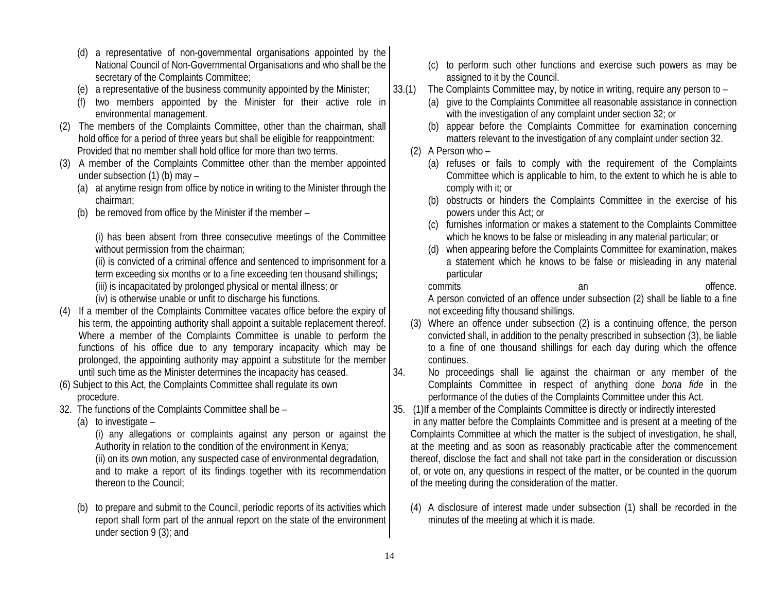- (d) a representative of non-governmental organisations appointed by the National Council of Non-Governmental Organisations and who shall be the secretary of the Complaints Committee;
- (e) a representative of the business community appointed by the Minister;
- (f) two members appointed by the Minister for their active role in environmental management.
- (2) The members of the Complaints Committee, other than the chairman, shall hold office for a period of three years but shall be eligible for reappointment: Provided that no member shall hold office for more than two terms.
- (3) A member of the Complaints Committee other than the member appointed under subsection (1) (b) may –
	- (a) at anytime resign from office by notice in writing to the Minister through the chairman;
	- (b) be removed from office by the Minister if the member –

(i) has been absent from three consecutive meetings of the Committee without permission from the chairman;

(ii) is convicted of a criminal offence and sentenced to imprisonment for a term exceeding six months or to a fine exceeding ten thousand shillings;

(iii) is incapacitated by prolonged physical or mental illness; or

(iv) is otherwise unable or unfit to discharge his functions.

- (4) If a member of the Complaints Committee vacates office before the expiry of his term, the appointing authority shall appoint a suitable replacement thereof. Where a member of the Complaints Committee is unable to perform the functions of his office due to any temporary incapacity which may be prolonged, the appointing authority may appoint a substitute for the member until such time as the Minister determines the incapacity has ceased.
- (6) Subject to this Act, the Complaints Committee shall regulate its own procedure.
- 32. The functions of the Complaints Committee shall be
	- (a) to investigate –

(i) any allegations or complaints against any person or against the Authority in relation to the condition of the environment in Kenya; (ii) on its own motion, any suspected case of environmental degradation, and to make a report of its findings together with its recommendation thereon to the Council;

(b) to prepare and submit to the Council, periodic reports of its activities which report shall form part of the annual report on the state of the environment under section 9 (3); and

- (c) to perform such other functions and exercise such powers as may be assigned to it by the Council.
- 33.(1) The Complaints Committee may, by notice in writing, require any person to
	- (a) give to the Complaints Committee all reasonable assistance in connection with the investigation of any complaint under section 32; or
	- (b) appear before the Complaints Committee for examination concerning matters relevant to the investigation of any complaint under section 32.
	- (2) A Person who
		- (a) refuses or fails to comply with the requirement of the Complaints Committee which is applicable to him, to the extent to which he is able to comply with it; or
		- (b) obstructs or hinders the Complaints Committee in the exercise of his powers under this Act; or
		- (c) furnishes information or makes a statement to the Complaints Committee which he knows to be false or misleading in any material particular; or
		- (d) when appearing before the Complaints Committee for examination, makes a statement which he knows to be false or misleading in any material particular

commits an an offence. A person convicted of an offence under subsection (2) shall be liable to a fine not exceeding fifty thousand shillings.

- (3) Where an offence under subsection (2) is a continuing offence, the person convicted shall, in addition to the penalty prescribed in subsection (3), be liable to a fine of one thousand shillings for each day during which the offence continues.
- 34. No proceedings shall lie against the chairman or any member of the Complaints Committee in respect of anything done *bona fide* in the performance of the duties of the Complaints Committee under this Act.
- 35. (1)If a member of the Complaints Committee is directly or indirectly interested in any matter before the Complaints Committee and is present at a meeting of the Complaints Committee at which the matter is the subject of investigation, he shall, at the meeting and as soon as reasonably practicable after the commencement thereof, disclose the fact and shall not take part in the consideration or discussion of, or vote on, any questions in respect of the matter, or be counted in the quorum of the meeting during the consideration of the matter.
	- (4) A disclosure of interest made under subsection (1) shall be recorded in the minutes of the meeting at which it is made.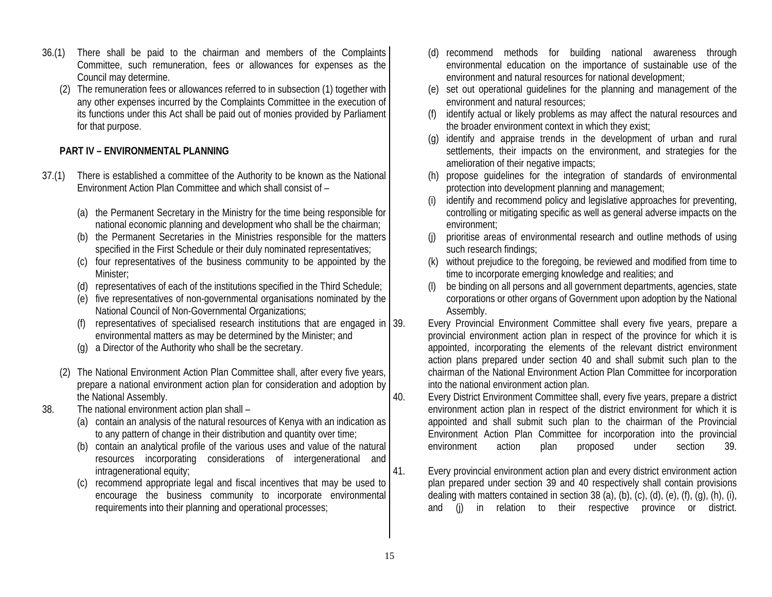- 36.(1) There shall be paid to the chairman and members of the Complaints Committee, such remuneration, fees or allowances for expenses as the Council may determine.
	- (2) The remuneration fees or allowances referred to in subsection (1) together with any other expenses incurred by the Complaints Committee in the execution of its functions under this Act shall be paid out of monies provided by Parliament for that purpose.

## **PART IV – ENVIRONMENTAL PLANNING**

- 37.(1) There is established a committee of the Authority to be known as the National Environment Action Plan Committee and which shall consist of –
	- (a) the Permanent Secretary in the Ministry for the time being responsible for national economic planning and development who shall be the chairman;
	- (b) the Permanent Secretaries in the Ministries responsible for the matters specified in the First Schedule or their duly nominated representatives;
	- (c) four representatives of the business community to be appointed by the Minister;
	- (d) representatives of each of the institutions specified in the Third Schedule;
	- (e) five representatives of non-governmental organisations nominated by the National Council of Non-Governmental Organizations;
	- (f) representatives of specialised research institutions that are engaged in 39. environmental matters as may be determined by the Minister; and
	- (g) a Director of the Authority who shall be the secretary.
	- (2) The National Environment Action Plan Committee shall, after every five years, prepare a national environment action plan for consideration and adoption by the National Assembly.
- 38. The national environment action plan shall
	- (a) contain an analysis of the natural resources of Kenya with an indication as to any pattern of change in their distribution and quantity over time;
	- (b) contain an analytical profile of the various uses and value of the natural resources incorporating considerations of intergenerational and intragenerational equity;
	- (c) recommend appropriate legal and fiscal incentives that may be used to encourage the business community to incorporate environmental requirements into their planning and operational processes;
- (d) recommend methods for building national awareness through environmental education on the importance of sustainable use of the environment and natural resources for national development;
- (e) set out operational guidelines for the planning and management of the environment and natural resources;
- identify actual or likely problems as may affect the natural resources and the broader environment context in which they exist;
- (g) identify and appraise trends in the development of urban and rural settlements, their impacts on the environment, and strategies for the amelioration of their negative impacts;
- (h) propose guidelines for the integration of standards of environmental protection into development planning and management;
- identify and recommend policy and legislative approaches for preventing, controlling or mitigating specific as well as general adverse impacts on the environment;
- (j) prioritise areas of environmental research and outline methods of using such research findings;
- (k) without prejudice to the foregoing, be reviewed and modified from time to time to incorporate emerging knowledge and realities; and
- be binding on all persons and all government departments, agencies, state corporations or other organs of Government upon adoption by the National Assembly.

Every Provincial Environment Committee shall every five years, prepare a provincial environment action plan in respect of the province for which it is appointed, incorporating the elements of the relevant district environment action plans prepared under section 40 and shall submit such plan to the chairman of the National Environment Action Plan Committee for incorporation into the national environment action plan.

40. Every District Environment Committee shall, every five years, prepare a district environment action plan in respect of the district environment for which it is appointed and shall submit such plan to the chairman of the Provincial Environment Action Plan Committee for incorporation into the provincial environment action plan proposed under section 39.

41. Every provincial environment action plan and every district environment action plan prepared under section 39 and 40 respectively shall contain provisions dealing with matters contained in section 38 (a), (b), (c), (d), (e), (f), (q), (h), (i), and (j) in relation to their respective province or district.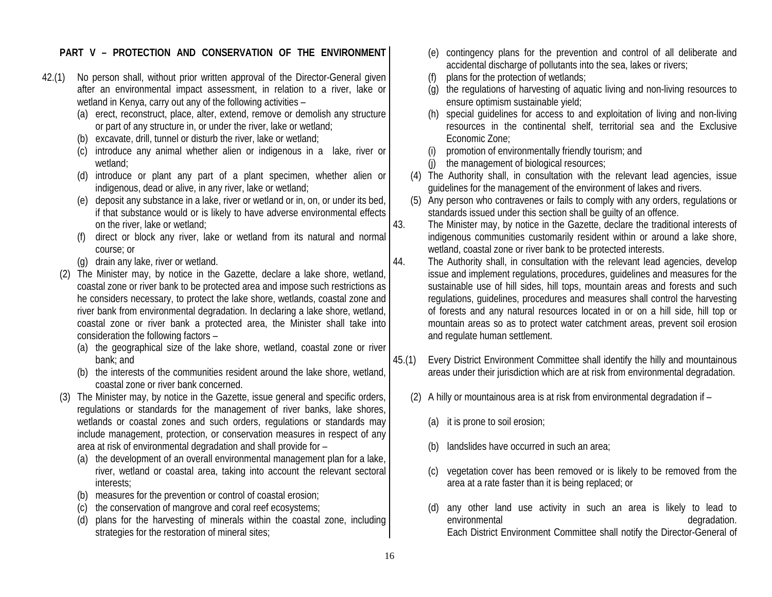#### **PART V – PROTECTION AND CONSERVATION OF THE ENVIRONMENT**

- 42.(1) No person shall, without prior written approval of the Director-General given after an environmental impact assessment, in relation to a river, lake or wetland in Kenya, carry out any of the following activities –
	- (a) erect, reconstruct, place, alter, extend, remove or demolish any structure or part of any structure in, or under the river, lake or wetland;
	- (b) excavate, drill, tunnel or disturb the river, lake or wetland;
	- (c) introduce any animal whether alien or indigenous in a lake, river or wetland;
	- (d) introduce or plant any part of a plant specimen, whether alien or indigenous, dead or alive, in any river, lake or wetland;
	- (e) deposit any substance in a lake, river or wetland or in, on, or under its bed, if that substance would or is likely to have adverse environmental effects on the river, lake or wetland;
	- (f) direct or block any river, lake or wetland from its natural and normal course; or
	- (g) drain any lake, river or wetland.
	- (2) The Minister may, by notice in the Gazette, declare a lake shore, wetland, coastal zone or river bank to be protected area and impose such restrictions as he considers necessary, to protect the lake shore, wetlands, coastal zone and river bank from environmental degradation. In declaring a lake shore, wetland, coastal zone or river bank a protected area, the Minister shall take into consideration the following factors –
		- (a) the geographical size of the lake shore, wetland, coastal zone or river bank; and
		- (b) the interests of the communities resident around the lake shore, wetland, coastal zone or river bank concerned.
	- (3) The Minister may, by notice in the Gazette, issue general and specific orders, regulations or standards for the management of river banks, lake shores, wetlands or coastal zones and such orders, regulations or standards may include management, protection, or conservation measures in respect of any area at risk of environmental degradation and shall provide for –
		- (a) the development of an overall environmental management plan for a lake, river, wetland or coastal area, taking into account the relevant sectoral interests;
		- (b) measures for the prevention or control of coastal erosion;
		- (c) the conservation of mangrove and coral reef ecosystems;
		- (d) plans for the harvesting of minerals within the coastal zone, including strategies for the restoration of mineral sites;
- (e) contingency plans for the prevention and control of all deliberate and accidental discharge of pollutants into the sea, lakes or rivers;
- (f) plans for the protection of wetlands;
- (g) the regulations of harvesting of aquatic living and non-living resources to ensure optimism sustainable yield;
- (h) special guidelines for access to and exploitation of living and non-living resources in the continental shelf, territorial sea and the Exclusive Economic Zone;
- (i) promotion of environmentally friendly tourism; and
- (j) the management of biological resources;
- (4) The Authority shall, in consultation with the relevant lead agencies, issue guidelines for the management of the environment of lakes and rivers.
- (5) Any person who contravenes or fails to comply with any orders, regulations or standards issued under this section shall be guilty of an offence.
- 43. The Minister may, by notice in the Gazette, declare the traditional interests of indigenous communities customarily resident within or around a lake shore, wetland, coastal zone or river bank to be protected interests.
- 44. The Authority shall, in consultation with the relevant lead agencies, develop issue and implement regulations, procedures, guidelines and measures for the sustainable use of hill sides, hill tops, mountain areas and forests and such regulations, guidelines, procedures and measures shall control the harvesting of forests and any natural resources located in or on a hill side, hill top or mountain areas so as to protect water catchment areas, prevent soil erosion and regulate human settlement.
- 45.(1) Every District Environment Committee shall identify the hilly and mountainous areas under their jurisdiction which are at risk from environmental degradation.
	- (2) A hilly or mountainous area is at risk from environmental degradation if
		- (a) it is prone to soil erosion;
		- (b) landslides have occurred in such an area;
		- (c) vegetation cover has been removed or is likely to be removed from the area at a rate faster than it is being replaced; or
		- (d) any other land use activity in such an area is likely to lead to environmental degradation. Each District Environment Committee shall notify the Director-General of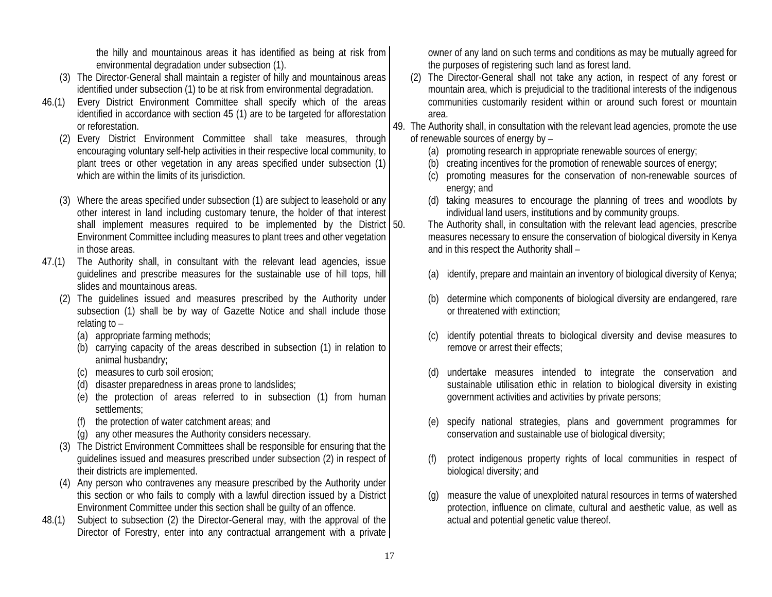the hilly and mountainous areas it has identified as being at risk from environmental degradation under subsection (1).

- (3) The Director-General shall maintain a register of hilly and mountainous areas identified under subsection (1) to be at risk from environmental degradation.
- 46.(1) Every District Environment Committee shall specify which of the areas identified in accordance with section 45 (1) are to be targeted for afforestation or reforestation.
	- (2) Every District Environment Committee shall take measures, through encouraging voluntary self-help activities in their respective local community, to plant trees or other vegetation in any areas specified under subsection (1) which are within the limits of its jurisdiction.
	- (3) Where the areas specified under subsection (1) are subject to leasehold or any other interest in land including customary tenure, the holder of that interest shall implement measures required to be implemented by the District  $\vert$  50. Environment Committee including measures to plant trees and other vegetation in those areas.
- 47.(1) The Authority shall, in consultant with the relevant lead agencies, issue guidelines and prescribe measures for the sustainable use of hill tops, hill slides and mountainous areas.
	- (2) The guidelines issued and measures prescribed by the Authority under subsection (1) shall be by way of Gazette Notice and shall include those relating to –
		- (a) appropriate farming methods;
		- (b) carrying capacity of the areas described in subsection (1) in relation to animal husbandry;
		- (c) measures to curb soil erosion;
		- (d) disaster preparedness in areas prone to landslides;
		- (e) the protection of areas referred to in subsection (1) from human settlements;
		- (f) the protection of water catchment areas; and
		- (g) any other measures the Authority considers necessary.
	- (3) The District Environment Committees shall be responsible for ensuring that the guidelines issued and measures prescribed under subsection (2) in respect of their districts are implemented.
	- (4) Any person who contravenes any measure prescribed by the Authority under this section or who fails to comply with a lawful direction issued by a District Environment Committee under this section shall be guilty of an offence.
- 48.(1) Subject to subsection (2) the Director-General may, with the approval of the Director of Forestry, enter into any contractual arrangement with a private

owner of any land on such terms and conditions as may be mutually agreed for the purposes of registering such land as forest land.

- (2) The Director-General shall not take any action, in respect of any forest or mountain area, which is prejudicial to the traditional interests of the indigenous communities customarily resident within or around such forest or mountain area.
- 49. The Authority shall, in consultation with the relevant lead agencies, promote the use of renewable sources of energy by –
	- (a) promoting research in appropriate renewable sources of energy;
	- (b) creating incentives for the promotion of renewable sources of energy;
	- (c) promoting measures for the conservation of non-renewable sources of energy; and
	- (d) taking measures to encourage the planning of trees and woodlots by individual land users, institutions and by community groups.

The Authority shall, in consultation with the relevant lead agencies, prescribe measures necessary to ensure the conservation of biological diversity in Kenya and in this respect the Authority shall –

- (a) identify, prepare and maintain an inventory of biological diversity of Kenya;
- (b) determine which components of biological diversity are endangered, rare or threatened with extinction;
- (c) identify potential threats to biological diversity and devise measures to remove or arrest their effects;
- (d) undertake measures intended to integrate the conservation and sustainable utilisation ethic in relation to biological diversity in existing government activities and activities by private persons;
- (e) specify national strategies, plans and government programmes for conservation and sustainable use of biological diversity;
- (f) protect indigenous property rights of local communities in respect of biological diversity; and
- (g) measure the value of unexploited natural resources in terms of watershed protection, influence on climate, cultural and aesthetic value, as well as actual and potential genetic value thereof.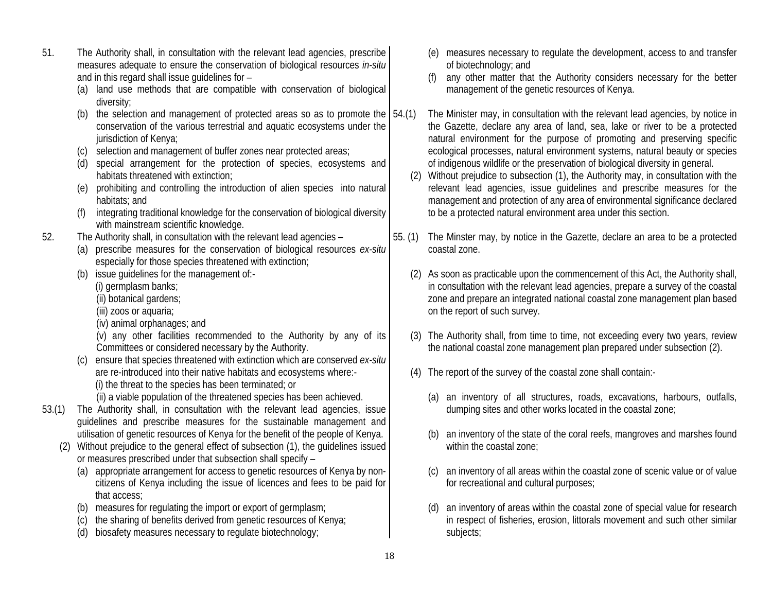- 51. The Authority shall, in consultation with the relevant lead agencies, prescribe measures adequate to ensure the conservation of biological resources *in-situ* and in this regard shall issue guidelines for –
	- (a) land use methods that are compatible with conservation of biological diversity;
	- (b) the selection and management of protected areas so as to promote the  $\vert$  54.(1) conservation of the various terrestrial and aquatic ecosystems under the jurisdiction of Kenya;
	- (c) selection and management of buffer zones near protected areas;
	- (d) special arrangement for the protection of species, ecosystems and habitats threatened with extinction;
	- (e) prohibiting and controlling the introduction of alien species into natural habitats; and
	- (f) integrating traditional knowledge for the conservation of biological diversity with mainstream scientific knowledge.
- 52. The Authority shall, in consultation with the relevant lead agencies
	- (a) prescribe measures for the conservation of biological resources *ex-situ* especially for those species threatened with extinction;
	- (b) issue guidelines for the management of:-
		- (i) germplasm banks;
		- (ii) botanical gardens;
		- (iii) zoos or aquaria;
		- (iv) animal orphanages; and
		- (v) any other facilities recommended to the Authority by any of its Committees or considered necessary by the Authority.
	- (c) ensure that species threatened with extinction which are conserved *ex-situ* are re-introduced into their native habitats and ecosystems where:- (i) the threat to the species has been terminated; or
		- (ii) a viable population of the threatened species has been achieved.
- 53.(1) The Authority shall, in consultation with the relevant lead agencies, issue guidelines and prescribe measures for the sustainable management and utilisation of genetic resources of Kenya for the benefit of the people of Kenya.
	- (2) Without prejudice to the general effect of subsection (1), the guidelines issued or measures prescribed under that subsection shall specify –
		- (a) appropriate arrangement for access to genetic resources of Kenya by noncitizens of Kenya including the issue of licences and fees to be paid for that access;
		- (b) measures for regulating the import or export of germplasm;
		- (c) the sharing of benefits derived from genetic resources of Kenya;
		- (d) biosafety measures necessary to regulate biotechnology;
- (e) measures necessary to regulate the development, access to and transfer of biotechnology; and
- (f) any other matter that the Authority considers necessary for the better management of the genetic resources of Kenya.
- The Minister may, in consultation with the relevant lead agencies, by notice in the Gazette, declare any area of land, sea, lake or river to be a protected natural environment for the purpose of promoting and preserving specific ecological processes, natural environment systems, natural beauty or species of indigenous wildlife or the preservation of biological diversity in general.
- (2) Without prejudice to subsection (1), the Authority may, in consultation with the relevant lead agencies, issue guidelines and prescribe measures for the management and protection of any area of environmental significance declared to be a protected natural environment area under this section.
- 55. (1) The Minster may, by notice in the Gazette, declare an area to be a protected coastal zone.
	- (2) As soon as practicable upon the commencement of this Act, the Authority shall, in consultation with the relevant lead agencies, prepare a survey of the coastal zone and prepare an integrated national coastal zone management plan based on the report of such survey.
	- (3) The Authority shall, from time to time, not exceeding every two years, review the national coastal zone management plan prepared under subsection (2).
	- (4) The report of the survey of the coastal zone shall contain:-
		- (a) an inventory of all structures, roads, excavations, harbours, outfalls, dumping sites and other works located in the coastal zone;
		- (b) an inventory of the state of the coral reefs, mangroves and marshes found within the coastal zone;
		- (c) an inventory of all areas within the coastal zone of scenic value or of value for recreational and cultural purposes;
		- (d) an inventory of areas within the coastal zone of special value for research in respect of fisheries, erosion, littorals movement and such other similar subjects;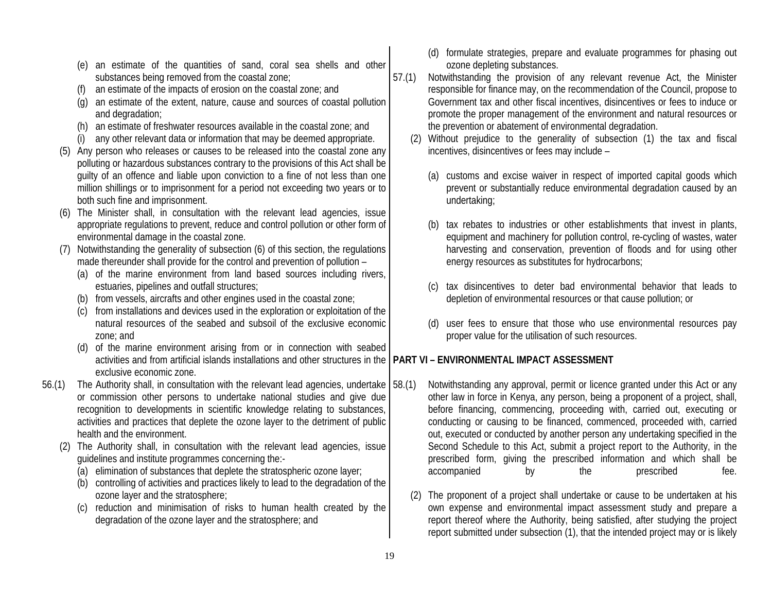- (e) an estimate of the quantities of sand, coral sea shells and other substances being removed from the coastal zone;
- an estimate of the impacts of erosion on the coastal zone; and
- (g) an estimate of the extent, nature, cause and sources of coastal pollution and degradation;
- (h) an estimate of freshwater resources available in the coastal zone; and
- (i) any other relevant data or information that may be deemed appropriate.
- (5) Any person who releases or causes to be released into the coastal zone any polluting or hazardous substances contrary to the provisions of this Act shall be guilty of an offence and liable upon conviction to a fine of not less than one million shillings or to imprisonment for a period not exceeding two years or to both such fine and imprisonment.
- (6) The Minister shall, in consultation with the relevant lead agencies, issue appropriate regulations to prevent, reduce and control pollution or other form of environmental damage in the coastal zone.
- (7) Notwithstanding the generality of subsection (6) of this section, the regulations made thereunder shall provide for the control and prevention of pollution –
	- (a) of the marine environment from land based sources including rivers, estuaries, pipelines and outfall structures;
	- (b) from vessels, aircrafts and other engines used in the coastal zone;
	- (c) from installations and devices used in the exploration or exploitation of the natural resources of the seabed and subsoil of the exclusive economic zone; and
	- (d) of the marine environment arising from or in connection with seabed activities and from artificial islands installations and other structures in the exclusive economic zone.
- 56.(1) The Authority shall, in consultation with the relevant lead agencies, undertake or commission other persons to undertake national studies and give due recognition to developments in scientific knowledge relating to substances, activities and practices that deplete the ozone layer to the detriment of public health and the environment.
	- (2) The Authority shall, in consultation with the relevant lead agencies, issue guidelines and institute programmes concerning the:-
		- (a) elimination of substances that deplete the stratospheric ozone layer;
		- (b) controlling of activities and practices likely to lead to the degradation of the ozone layer and the stratosphere;
		- (c) reduction and minimisation of risks to human health created by the degradation of the ozone layer and the stratosphere; and
- (d) formulate strategies, prepare and evaluate programmes for phasing out ozone depleting substances.
- 57.(1) Notwithstanding the provision of any relevant revenue Act, the Minister responsible for finance may, on the recommendation of the Council, propose to Government tax and other fiscal incentives, disincentives or fees to induce or promote the proper management of the environment and natural resources or the prevention or abatement of environmental degradation.
	- (2) Without prejudice to the generality of subsection (1) the tax and fiscal incentives, disincentives or fees may include –
		- (a) customs and excise waiver in respect of imported capital goods which prevent or substantially reduce environmental degradation caused by an undertaking;
		- (b) tax rebates to industries or other establishments that invest in plants, equipment and machinery for pollution control, re-cycling of wastes, water harvesting and conservation, prevention of floods and for using other energy resources as substitutes for hydrocarbons;
		- (c) tax disincentives to deter bad environmental behavior that leads to depletion of environmental resources or that cause pollution; or
		- (d) user fees to ensure that those who use environmental resources pay proper value for the utilisation of such resources.

# **PART VI – ENVIRONMENTAL IMPACT ASSESSMENT**

- Notwithstanding any approval, permit or licence granted under this Act or any other law in force in Kenya, any person, being a proponent of a project, shall, before financing, commencing, proceeding with, carried out, executing or conducting or causing to be financed, commenced, proceeded with, carried out, executed or conducted by another person any undertaking specified in the Second Schedule to this Act, submit a project report to the Authority, in the prescribed form, giving the prescribed information and which shall be accompanied by the prescribed fee.
	- (2) The proponent of a project shall undertake or cause to be undertaken at his own expense and environmental impact assessment study and prepare a report thereof where the Authority, being satisfied, after studying the project report submitted under subsection (1), that the intended project may or is likely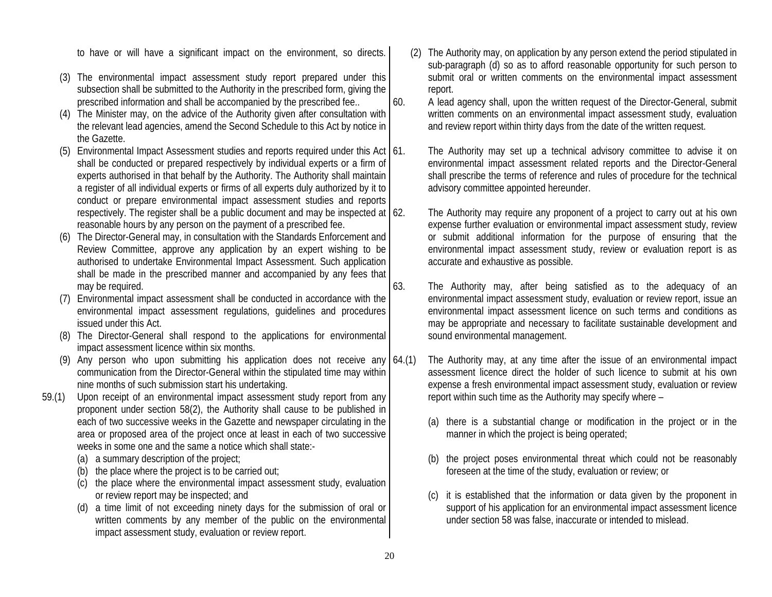to have or will have a significant impact on the environment, so directs.

- (3) The environmental impact assessment study report prepared under this subsection shall be submitted to the Authority in the prescribed form, giving the prescribed information and shall be accompanied by the prescribed fee..
- (4) The Minister may, on the advice of the Authority given after consultation with the relevant lead agencies, amend the Second Schedule to this Act by notice in the Gazette.
- (5) Environmental Impact Assessment studies and reports required under this Act  $\vert$  61. shall be conducted or prepared respectively by individual experts or a firm of experts authorised in that behalf by the Authority. The Authority shall maintain a register of all individual experts or firms of all experts duly authorized by it to conduct or prepare environmental impact assessment studies and reports respectively. The register shall be a public document and may be inspected at reasonable hours by any person on the payment of a prescribed fee.
- (6) The Director-General may, in consultation with the Standards Enforcement and Review Committee, approve any application by an expert wishing to be authorised to undertake Environmental Impact Assessment. Such application shall be made in the prescribed manner and accompanied by any fees that may be required.
- (7) Environmental impact assessment shall be conducted in accordance with the environmental impact assessment regulations, guidelines and procedures issued under this Act.
- (8) The Director-General shall respond to the applications for environmental impact assessment licence within six months.
- (9) Any person who upon submitting his application does not receive any  $(64.(1))$ communication from the Director-General within the stipulated time may within nine months of such submission start his undertaking.
- 59.(1) Upon receipt of an environmental impact assessment study report from any proponent under section 58(2), the Authority shall cause to be published in each of two successive weeks in the Gazette and newspaper circulating in the area or proposed area of the project once at least in each of two successive weeks in some one and the same a notice which shall state:-
	- (a) a summary description of the project;
	- (b) the place where the project is to be carried out;
	- (c) the place where the environmental impact assessment study, evaluation or review report may be inspected; and
	- (d) a time limit of not exceeding ninety days for the submission of oral or written comments by any member of the public on the environmental impact assessment study, evaluation or review report.
- (2) The Authority may, on application by any person extend the period stipulated in sub-paragraph (d) so as to afford reasonable opportunity for such person to submit oral or written comments on the environmental impact assessment report.
- 60. A lead agency shall, upon the written request of the Director-General, submit written comments on an environmental impact assessment study, evaluation and review report within thirty days from the date of the written request.
	- The Authority may set up a technical advisory committee to advise it on environmental impact assessment related reports and the Director-General shall prescribe the terms of reference and rules of procedure for the technical advisory committee appointed hereunder.
	- The Authority may require any proponent of a project to carry out at his own expense further evaluation or environmental impact assessment study, review or submit additional information for the purpose of ensuring that the environmental impact assessment study, review or evaluation report is as accurate and exhaustive as possible.
- 63. The Authority may, after being satisfied as to the adequacy of an environmental impact assessment study, evaluation or review report, issue an environmental impact assessment licence on such terms and conditions as may be appropriate and necessary to facilitate sustainable development and sound environmental management.
	- The Authority may, at any time after the issue of an environmental impact assessment licence direct the holder of such licence to submit at his own expense a fresh environmental impact assessment study, evaluation or review report within such time as the Authority may specify where –
		- (a) there is a substantial change or modification in the project or in the manner in which the project is being operated;
		- (b) the project poses environmental threat which could not be reasonably foreseen at the time of the study, evaluation or review; or
		- (c) it is established that the information or data given by the proponent in support of his application for an environmental impact assessment licence under section 58 was false, inaccurate or intended to mislead.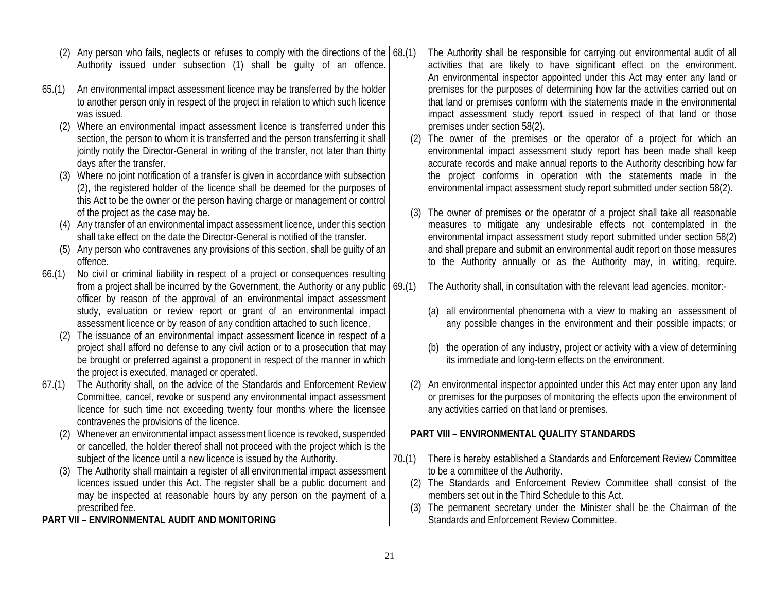- (2) Any person who fails, neglects or refuses to comply with the directions of the  $(68. (1)$ Authority issued under subsection (1) shall be guilty of an offence.
- 65.(1) An environmental impact assessment licence may be transferred by the holder to another person only in respect of the project in relation to which such licence was issued.
	- (2) Where an environmental impact assessment licence is transferred under this section, the person to whom it is transferred and the person transferring it shall jointly notify the Director-General in writing of the transfer, not later than thirty days after the transfer.
	- (3) Where no joint notification of a transfer is given in accordance with subsection (2), the registered holder of the licence shall be deemed for the purposes of this Act to be the owner or the person having charge or management or control of the project as the case may be.
	- (4) Any transfer of an environmental impact assessment licence, under this section shall take effect on the date the Director-General is notified of the transfer.
	- (5) Any person who contravenes any provisions of this section, shall be guilty of an offence.
- 66.(1) No civil or criminal liability in respect of a project or consequences resulting from a project shall be incurred by the Government, the Authority or any public  $\vert$  69.(1) officer by reason of the approval of an environmental impact assessment study, evaluation or review report or grant of an environmental impact assessment licence or by reason of any condition attached to such licence.
	- (2) The issuance of an environmental impact assessment licence in respect of a project shall afford no defense to any civil action or to a prosecution that may be brought or preferred against a proponent in respect of the manner in which the project is executed, managed or operated.
- 67.(1) The Authority shall, on the advice of the Standards and Enforcement Review Committee, cancel, revoke or suspend any environmental impact assessment licence for such time not exceeding twenty four months where the licensee contravenes the provisions of the licence.
	- (2) Whenever an environmental impact assessment licence is revoked, suspended or cancelled, the holder thereof shall not proceed with the project which is the subject of the licence until a new licence is issued by the Authority.
	- (3) The Authority shall maintain a register of all environmental impact assessment licences issued under this Act. The register shall be a public document and may be inspected at reasonable hours by any person on the payment of a prescribed fee.
- **PART VII ENVIRONMENTAL AUDIT AND MONITORING**
- The Authority shall be responsible for carrying out environmental audit of all activities that are likely to have significant effect on the environment. An environmental inspector appointed under this Act may enter any land or premises for the purposes of determining how far the activities carried out on that land or premises conform with the statements made in the environmental impact assessment study report issued in respect of that land or those premises under section 58(2).
- (2) The owner of the premises or the operator of a project for which an environmental impact assessment study report has been made shall keep accurate records and make annual reports to the Authority describing how far the project conforms in operation with the statements made in the environmental impact assessment study report submitted under section 58(2).
- (3) The owner of premises or the operator of a project shall take all reasonable measures to mitigate any undesirable effects not contemplated in the environmental impact assessment study report submitted under section 58(2) and shall prepare and submit an environmental audit report on those measures to the Authority annually or as the Authority may, in writing, require.
- The Authority shall, in consultation with the relevant lead agencies, monitor:-
	- (a) all environmental phenomena with a view to making an assessment of any possible changes in the environment and their possible impacts; or
	- (b) the operation of any industry, project or activity with a view of determining its immediate and long-term effects on the environment.
- (2) An environmental inspector appointed under this Act may enter upon any land or premises for the purposes of monitoring the effects upon the environment of any activities carried on that land or premises.

#### **PART VIII – ENVIRONMENTAL QUALITY STANDARDS**

- 70.(1) There is hereby established a Standards and Enforcement Review Committee to be a committee of the Authority.
	- (2) The Standards and Enforcement Review Committee shall consist of the members set out in the Third Schedule to this Act.
	- (3) The permanent secretary under the Minister shall be the Chairman of the Standards and Enforcement Review Committee.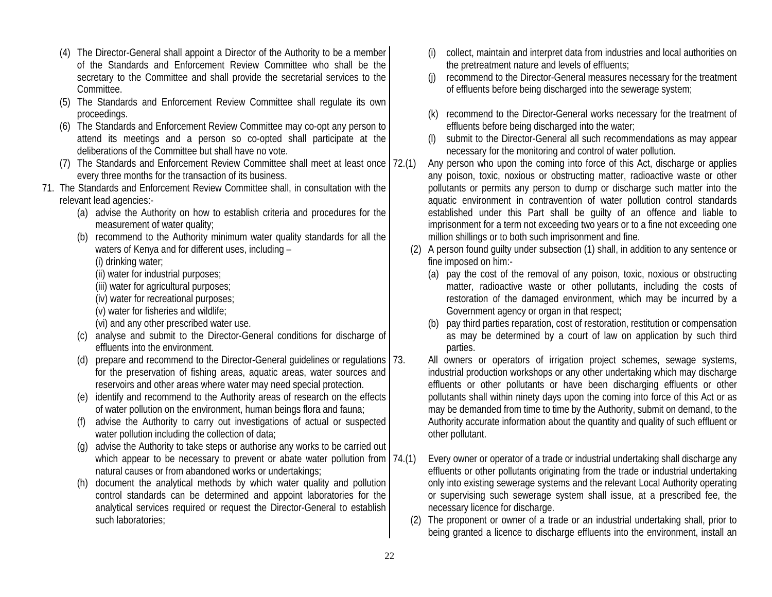- (4) The Director-General shall appoint a Director of the Authority to be a member of the Standards and Enforcement Review Committee who shall be the secretary to the Committee and shall provide the secretarial services to the Committee.
- (5) The Standards and Enforcement Review Committee shall regulate its own proceedings.
- (6) The Standards and Enforcement Review Committee may co-opt any person to attend its meetings and a person so co-opted shall participate at the deliberations of the Committee but shall have no vote.
- (7) The Standards and Enforcement Review Committee shall meet at least once every three months for the transaction of its business.
- 71. The Standards and Enforcement Review Committee shall, in consultation with the relevant lead agencies:-
	- (a) advise the Authority on how to establish criteria and procedures for the measurement of water quality;
	- (b) recommend to the Authority minimum water quality standards for all the waters of Kenya and for different uses, including –

(i) drinking water;

- (ii) water for industrial purposes;
- (iii) water for agricultural purposes;
- (iv) water for recreational purposes;
- (v) water for fisheries and wildlife;
- (vi) and any other prescribed water use.
- (c) analyse and submit to the Director-General conditions for discharge of effluents into the environment.
- (d) prepare and recommend to the Director-General guidelines or regulations for the preservation of fishing areas, aquatic areas, water sources and reservoirs and other areas where water may need special protection.
- (e) identify and recommend to the Authority areas of research on the effects of water pollution on the environment, human beings flora and fauna;
- (f) advise the Authority to carry out investigations of actual or suspected water pollution including the collection of data;
- (g) advise the Authority to take steps or authorise any works to be carried out which appear to be necessary to prevent or abate water pollution from  $74.(1)$ natural causes or from abandoned works or undertakings;
- (h) document the analytical methods by which water quality and pollution control standards can be determined and appoint laboratories for the analytical services required or request the Director-General to establish such laboratories;
- (i) collect, maintain and interpret data from industries and local authorities on the pretreatment nature and levels of effluents;
- (j) recommend to the Director-General measures necessary for the treatment of effluents before being discharged into the sewerage system;
- (k) recommend to the Director-General works necessary for the treatment of effluents before being discharged into the water;
- submit to the Director-General all such recommendations as may appear necessary for the monitoring and control of water pollution.
- Any person who upon the coming into force of this Act, discharge or applies any poison, toxic, noxious or obstructing matter, radioactive waste or other pollutants or permits any person to dump or discharge such matter into the aquatic environment in contravention of water pollution control standards established under this Part shall be guilty of an offence and liable to imprisonment for a term not exceeding two years or to a fine not exceeding one million shillings or to both such imprisonment and fine.
- (2) A person found guilty under subsection (1) shall, in addition to any sentence or fine imposed on him:-
	- (a) pay the cost of the removal of any poison, toxic, noxious or obstructing matter, radioactive waste or other pollutants, including the costs of restoration of the damaged environment, which may be incurred by a Government agency or organ in that respect;
	- (b) pay third parties reparation, cost of restoration, restitution or compensation as may be determined by a court of law on application by such third parties.
	- All owners or operators of irrigation project schemes, sewage systems, industrial production workshops or any other undertaking which may discharge effluents or other pollutants or have been discharging effluents or other pollutants shall within ninety days upon the coming into force of this Act or as may be demanded from time to time by the Authority, submit on demand, to the Authority accurate information about the quantity and quality of such effluent or other pollutant.
- Every owner or operator of a trade or industrial undertaking shall discharge any effluents or other pollutants originating from the trade or industrial undertaking only into existing sewerage systems and the relevant Local Authority operating or supervising such sewerage system shall issue, at a prescribed fee, the necessary licence for discharge.
- (2) The proponent or owner of a trade or an industrial undertaking shall, prior to being granted a licence to discharge effluents into the environment, install an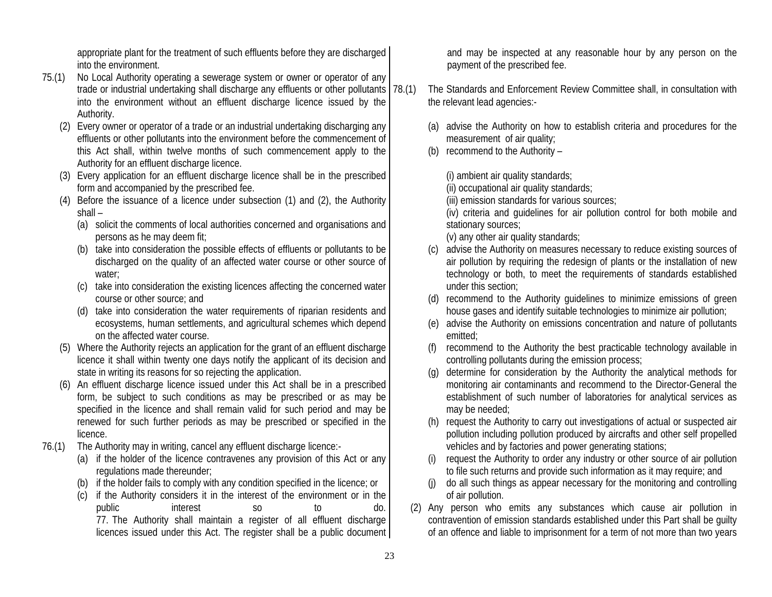appropriate plant for the treatment of such effluents before they are discharged into the environment.

- 75.(1) No Local Authority operating a sewerage system or owner or operator of any trade or industrial undertaking shall discharge any effluents or other pollutants into the environment without an effluent discharge licence issued by the Authority.
	- (2) Every owner or operator of a trade or an industrial undertaking discharging any effluents or other pollutants into the environment before the commencement of this Act shall, within twelve months of such commencement apply to the Authority for an effluent discharge licence.
	- (3) Every application for an effluent discharge licence shall be in the prescribed form and accompanied by the prescribed fee.
	- (4) Before the issuance of a licence under subsection (1) and (2), the Authority shall –
		- (a) solicit the comments of local authorities concerned and organisations and persons as he may deem fit;
		- (b) take into consideration the possible effects of effluents or pollutants to be discharged on the quality of an affected water course or other source of water;
		- (c) take into consideration the existing licences affecting the concerned water course or other source; and
		- (d) take into consideration the water requirements of riparian residents and ecosystems, human settlements, and agricultural schemes which depend on the affected water course.
	- (5) Where the Authority rejects an application for the grant of an effluent discharge licence it shall within twenty one days notify the applicant of its decision and state in writing its reasons for so rejecting the application.
	- (6) An effluent discharge licence issued under this Act shall be in a prescribed form, be subject to such conditions as may be prescribed or as may be specified in the licence and shall remain valid for such period and may be renewed for such further periods as may be prescribed or specified in the licence.
- 76.(1) The Authority may in writing, cancel any effluent discharge licence:-
	- (a) if the holder of the licence contravenes any provision of this Act or any regulations made thereunder;
	- (b) if the holder fails to comply with any condition specified in the licence; or
	- (c) if the Authority considers it in the interest of the environment or in the public interest so to do. 77. The Authority shall maintain a register of all effluent discharge licences issued under this Act. The register shall be a public document

and may be inspected at any reasonable hour by any person on the payment of the prescribed fee.

- The Standards and Enforcement Review Committee shall, in consultation with the relevant lead agencies:-
	- (a) advise the Authority on how to establish criteria and procedures for the measurement of air quality;
	- (b) recommend to the Authority –

(i) ambient air quality standards;

(ii) occupational air quality standards;

(iii) emission standards for various sources;

(iv) criteria and guidelines for air pollution control for both mobile and stationary sources;

- (v) any other air quality standards;
- (c) advise the Authority on measures necessary to reduce existing sources of air pollution by requiring the redesign of plants or the installation of new technology or both, to meet the requirements of standards established under this section;
- (d) recommend to the Authority guidelines to minimize emissions of green house gases and identify suitable technologies to minimize air pollution;
- (e) advise the Authority on emissions concentration and nature of pollutants emitted;
- (f) recommend to the Authority the best practicable technology available in controlling pollutants during the emission process;
- (g) determine for consideration by the Authority the analytical methods for monitoring air contaminants and recommend to the Director-General the establishment of such number of laboratories for analytical services as may be needed;
- (h) request the Authority to carry out investigations of actual or suspected air pollution including pollution produced by aircrafts and other self propelled vehicles and by factories and power generating stations;
- (i) request the Authority to order any industry or other source of air pollution to file such returns and provide such information as it may require; and
- (j) do all such things as appear necessary for the monitoring and controlling of air pollution.
- (2) Any person who emits any substances which cause air pollution in contravention of emission standards established under this Part shall be guilty of an offence and liable to imprisonment for a term of not more than two years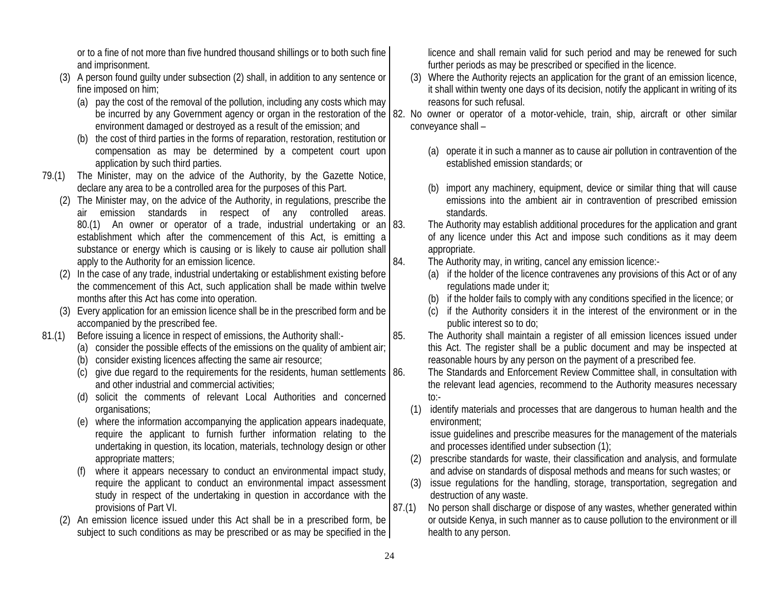or to a fine of not more than five hundred thousand shillings or to both such fine and imprisonment.

- (3) A person found guilty under subsection (2) shall, in addition to any sentence or fine imposed on him;
	- (a) pay the cost of the removal of the pollution, including any costs which may environment damaged or destroyed as a result of the emission; and
	- (b) the cost of third parties in the forms of reparation, restoration, restitution or compensation as may be determined by a competent court upon application by such third parties.
- 79.(1) The Minister, may on the advice of the Authority, by the Gazette Notice, declare any area to be a controlled area for the purposes of this Part.
	- (2) The Minister may, on the advice of the Authority, in regulations, prescribe the air emission standards in respect of any controlled areas. 80.(1) An owner or operator of a trade, industrial undertaking or an  $|83$ . establishment which after the commencement of this Act, is emitting a substance or energy which is causing or is likely to cause air pollution shall apply to the Authority for an emission licence.
	- (2) In the case of any trade, industrial undertaking or establishment existing before the commencement of this Act, such application shall be made within twelve months after this Act has come into operation.
	- (3) Every application for an emission licence shall be in the prescribed form and be accompanied by the prescribed fee.
- 81.(1) Before issuing a licence in respect of emissions, the Authority shall:-
	- (a) consider the possible effects of the emissions on the quality of ambient air;
	- (b) consider existing licences affecting the same air resource;
	- (c) give due regard to the requirements for the residents, human settlements  $\vert$  86. and other industrial and commercial activities;
	- (d) solicit the comments of relevant Local Authorities and concerned organisations;
	- (e) where the information accompanying the application appears inadequate, require the applicant to furnish further information relating to the undertaking in question, its location, materials, technology design or other appropriate matters;
	- (f) where it appears necessary to conduct an environmental impact study, require the applicant to conduct an environmental impact assessment study in respect of the undertaking in question in accordance with the provisions of Part VI.
	- (2) An emission licence issued under this Act shall be in a prescribed form, be subject to such conditions as may be prescribed or as may be specified in the

licence and shall remain valid for such period and may be renewed for such further periods as may be prescribed or specified in the licence.

- (3) Where the Authority rejects an application for the grant of an emission licence, it shall within twenty one days of its decision, notify the applicant in writing of its reasons for such refusal.
- be incurred by any Government agency or organ in the restoration of the 82. No owner or operator of a motor-vehicle, train, ship, aircraft or other similar conveyance shall –
	- (a) operate it in such a manner as to cause air pollution in contravention of the established emission standards; or
	- (b) import any machinery, equipment, device or similar thing that will cause emissions into the ambient air in contravention of prescribed emission standards.
	- The Authority may establish additional procedures for the application and grant of any licence under this Act and impose such conditions as it may deem appropriate.
	- 84. The Authority may, in writing, cancel any emission licence:-
		- (a) if the holder of the licence contravenes any provisions of this Act or of any regulations made under it;
		- (b) if the holder fails to comply with any conditions specified in the licence; or
		- (c) if the Authority considers it in the interest of the environment or in the public interest so to do;
	- 85. The Authority shall maintain a register of all emission licences issued under this Act. The register shall be a public document and may be inspected at reasonable hours by any person on the payment of a prescribed fee.
		- The Standards and Enforcement Review Committee shall, in consultation with the relevant lead agencies, recommend to the Authority measures necessary to:-
		- (1) identify materials and processes that are dangerous to human health and the environment;

issue guidelines and prescribe measures for the management of the materials and processes identified under subsection (1);

- (2) prescribe standards for waste, their classification and analysis, and formulate and advise on standards of disposal methods and means for such wastes; or
- (3) issue regulations for the handling, storage, transportation, segregation and destruction of any waste.
- 87.(1) No person shall discharge or dispose of any wastes, whether generated within or outside Kenya, in such manner as to cause pollution to the environment or ill health to any person.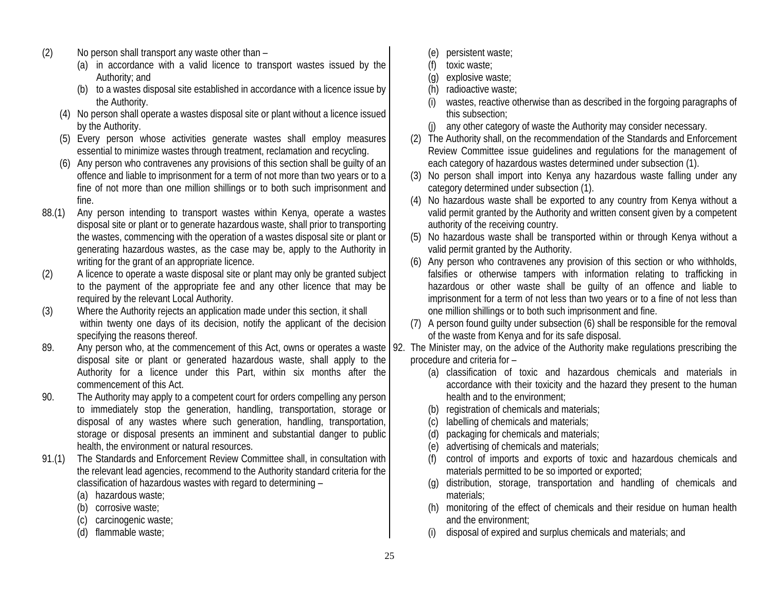- (2) No person shall transport any waste other than
	- (a) in accordance with a valid licence to transport wastes issued by the Authority; and
	- (b) to a wastes disposal site established in accordance with a licence issue by the Authority.
	- (4) No person shall operate a wastes disposal site or plant without a licence issued by the Authority.
	- (5) Every person whose activities generate wastes shall employ measures essential to minimize wastes through treatment, reclamation and recycling.
	- (6) Any person who contravenes any provisions of this section shall be guilty of an offence and liable to imprisonment for a term of not more than two years or to a fine of not more than one million shillings or to both such imprisonment and fine.
- 88.(1) Any person intending to transport wastes within Kenya, operate a wastes disposal site or plant or to generate hazardous waste, shall prior to transporting the wastes, commencing with the operation of a wastes disposal site or plant or generating hazardous wastes, as the case may be, apply to the Authority in writing for the grant of an appropriate licence.
- (2) A licence to operate a waste disposal site or plant may only be granted subject to the payment of the appropriate fee and any other licence that may be required by the relevant Local Authority.
- (3) Where the Authority rejects an application made under this section, it shall within twenty one days of its decision, notify the applicant of the decision specifying the reasons thereof.
- 89. Any person who, at the commencement of this Act, owns or operates a waste | 92. The Minister may, on the advice of the Authority make regulations prescribing the disposal site or plant or generated hazardous waste, shall apply to the Authority for a licence under this Part, within six months after the commencement of this Act.
- 90. The Authority may apply to a competent court for orders compelling any person to immediately stop the generation, handling, transportation, storage or disposal of any wastes where such generation, handling, transportation, storage or disposal presents an imminent and substantial danger to public health, the environment or natural resources.
- 91.(1) The Standards and Enforcement Review Committee shall, in consultation with the relevant lead agencies, recommend to the Authority standard criteria for the classification of hazardous wastes with regard to determining –
	- (a) hazardous waste;
	- (b) corrosive waste;
	- (c) carcinogenic waste;
	- (d) flammable waste;
- (e) persistent waste;
- (f) toxic waste;
- (g) explosive waste;
- (h) radioactive waste;
- (i) wastes, reactive otherwise than as described in the forgoing paragraphs of this subsection;
- (j) any other category of waste the Authority may consider necessary.
- (2) The Authority shall, on the recommendation of the Standards and Enforcement Review Committee issue guidelines and regulations for the management of each category of hazardous wastes determined under subsection (1).
- (3) No person shall import into Kenya any hazardous waste falling under any category determined under subsection (1).
- (4) No hazardous waste shall be exported to any country from Kenya without a valid permit granted by the Authority and written consent given by a competent authority of the receiving country.
- (5) No hazardous waste shall be transported within or through Kenya without a valid permit granted by the Authority.
- (6) Any person who contravenes any provision of this section or who withholds, falsifies or otherwise tampers with information relating to trafficking in hazardous or other waste shall be guilty of an offence and liable to imprisonment for a term of not less than two years or to a fine of not less than one million shillings or to both such imprisonment and fine.
- (7) A person found guilty under subsection (6) shall be responsible for the removal of the waste from Kenya and for its safe disposal.
- procedure and criteria for
	- (a) classification of toxic and hazardous chemicals and materials in accordance with their toxicity and the hazard they present to the human health and to the environment;
	- (b) registration of chemicals and materials;
	- (c) labelling of chemicals and materials;
	- (d) packaging for chemicals and materials;
	- (e) advertising of chemicals and materials;
	- (f) control of imports and exports of toxic and hazardous chemicals and materials permitted to be so imported or exported;
	- (g) distribution, storage, transportation and handling of chemicals and materials;
	- (h) monitoring of the effect of chemicals and their residue on human health and the environment;
	- (i) disposal of expired and surplus chemicals and materials; and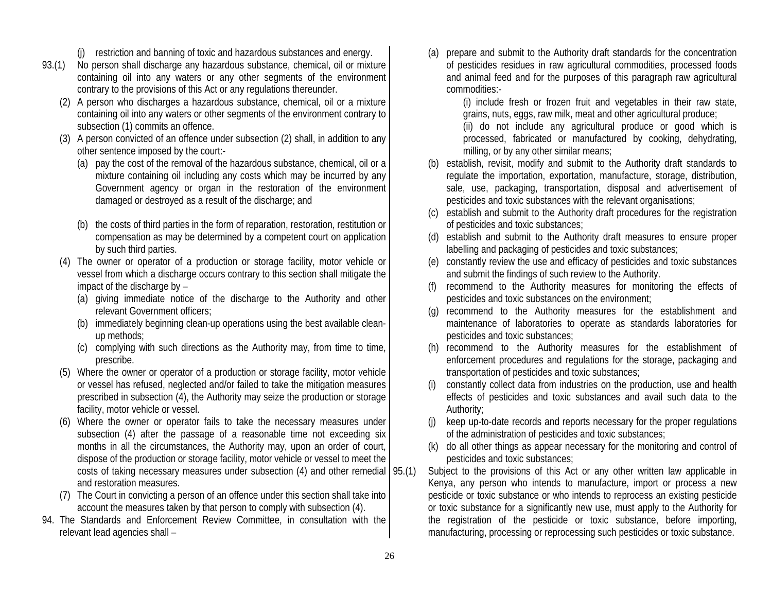- (j) restriction and banning of toxic and hazardous substances and energy.
- 93.(1) No person shall discharge any hazardous substance, chemical, oil or mixture containing oil into any waters or any other segments of the environment contrary to the provisions of this Act or any regulations thereunder.
	- (2) A person who discharges a hazardous substance, chemical, oil or a mixture containing oil into any waters or other segments of the environment contrary to subsection (1) commits an offence.
	- (3) A person convicted of an offence under subsection (2) shall, in addition to any other sentence imposed by the court:-
		- (a) pay the cost of the removal of the hazardous substance, chemical, oil or a mixture containing oil including any costs which may be incurred by any Government agency or organ in the restoration of the environment damaged or destroyed as a result of the discharge; and
		- (b) the costs of third parties in the form of reparation, restoration, restitution or compensation as may be determined by a competent court on application by such third parties.
	- (4) The owner or operator of a production or storage facility, motor vehicle or vessel from which a discharge occurs contrary to this section shall mitigate the impact of the discharge by –
		- (a) giving immediate notice of the discharge to the Authority and other relevant Government officers;
		- (b) immediately beginning clean-up operations using the best available cleanup methods;
		- (c) complying with such directions as the Authority may, from time to time, prescribe.
	- (5) Where the owner or operator of a production or storage facility, motor vehicle or vessel has refused, neglected and/or failed to take the mitigation measures prescribed in subsection (4), the Authority may seize the production or storage facility, motor vehicle or vessel.
	- (6) Where the owner or operator fails to take the necessary measures under subsection (4) after the passage of a reasonable time not exceeding six months in all the circumstances, the Authority may, upon an order of court, dispose of the production or storage facility, motor vehicle or vessel to meet the costs of taking necessary measures under subsection  $(4)$  and other remedial  $(95. (1)$ and restoration measures.
	- (7) The Court in convicting a person of an offence under this section shall take into account the measures taken by that person to comply with subsection (4).
- 94. The Standards and Enforcement Review Committee, in consultation with the relevant lead agencies shall –

(a) prepare and submit to the Authority draft standards for the concentration of pesticides residues in raw agricultural commodities, processed foods and animal feed and for the purposes of this paragraph raw agricultural commodities:-

(i) include fresh or frozen fruit and vegetables in their raw state, grains, nuts, eggs, raw milk, meat and other agricultural produce;

(ii) do not include any agricultural produce or good which is processed, fabricated or manufactured by cooking, dehydrating, milling, or by any other similar means;

- (b) establish, revisit, modify and submit to the Authority draft standards to regulate the importation, exportation, manufacture, storage, distribution, sale, use, packaging, transportation, disposal and advertisement of pesticides and toxic substances with the relevant organisations;
- (c) establish and submit to the Authority draft procedures for the registration of pesticides and toxic substances;
- (d) establish and submit to the Authority draft measures to ensure proper labelling and packaging of pesticides and toxic substances;
- (e) constantly review the use and efficacy of pesticides and toxic substances and submit the findings of such review to the Authority.
- (f) recommend to the Authority measures for monitoring the effects of pesticides and toxic substances on the environment;
- (g) recommend to the Authority measures for the establishment and maintenance of laboratories to operate as standards laboratories for pesticides and toxic substances;
- (h) recommend to the Authority measures for the establishment of enforcement procedures and regulations for the storage, packaging and transportation of pesticides and toxic substances;
- (i) constantly collect data from industries on the production, use and health effects of pesticides and toxic substances and avail such data to the Authority;
- (j) keep up-to-date records and reports necessary for the proper regulations of the administration of pesticides and toxic substances;
- (k) do all other things as appear necessary for the monitoring and control of pesticides and toxic substances;
- Subject to the provisions of this Act or any other written law applicable in Kenya, any person who intends to manufacture, import or process a new pesticide or toxic substance or who intends to reprocess an existing pesticide or toxic substance for a significantly new use, must apply to the Authority for the registration of the pesticide or toxic substance, before importing, manufacturing, processing or reprocessing such pesticides or toxic substance.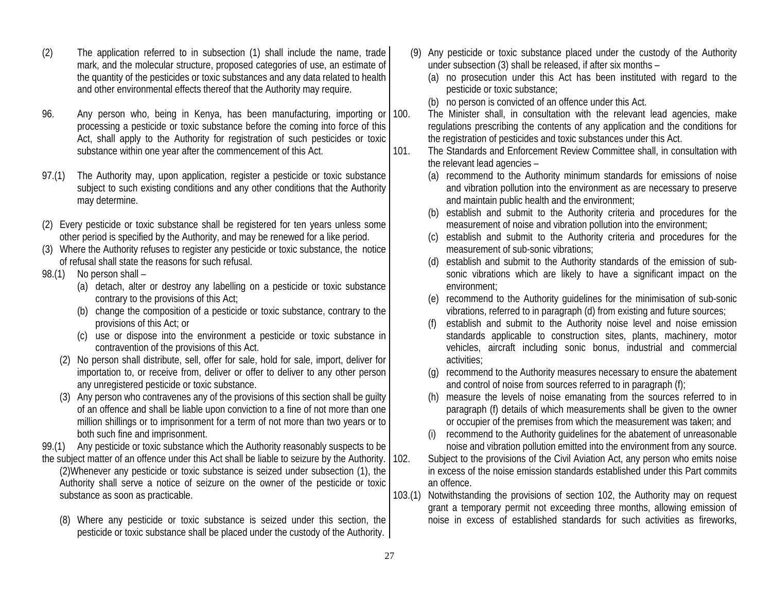- (2) The application referred to in subsection (1) shall include the name, trade mark, and the molecular structure, proposed categories of use, an estimate of the quantity of the pesticides or toxic substances and any data related to health and other environmental effects thereof that the Authority may require.
- 96. Any person who, being in Kenya, has been manufacturing, importing or processing a pesticide or toxic substance before the coming into force of this Act, shall apply to the Authority for registration of such pesticides or toxic substance within one year after the commencement of this Act.
- 97.(1) The Authority may, upon application, register a pesticide or toxic substance subject to such existing conditions and any other conditions that the Authority may determine.
- (2) Every pesticide or toxic substance shall be registered for ten years unless some other period is specified by the Authority, and may be renewed for a like period.
- (3) Where the Authority refuses to register any pesticide or toxic substance, the notice of refusal shall state the reasons for such refusal.
- 98.(1) No person shall
	- (a) detach, alter or destroy any labelling on a pesticide or toxic substance contrary to the provisions of this Act;
	- (b) change the composition of a pesticide or toxic substance, contrary to the provisions of this Act; or
	- (c) use or dispose into the environment a pesticide or toxic substance in contravention of the provisions of this Act.
	- (2) No person shall distribute, sell, offer for sale, hold for sale, import, deliver for importation to, or receive from, deliver or offer to deliver to any other person any unregistered pesticide or toxic substance.
	- (3) Any person who contravenes any of the provisions of this section shall be guilty of an offence and shall be liable upon conviction to a fine of not more than one million shillings or to imprisonment for a term of not more than two years or to both such fine and imprisonment.
- 99.(1) Any pesticide or toxic substance which the Authority reasonably suspects to be
- the subject matter of an offence under this Act shall be liable to seizure by the Authority. (2)Whenever any pesticide or toxic substance is seized under subsection (1), the Authority shall serve a notice of seizure on the owner of the pesticide or toxic substance as soon as practicable.
	- (8) Where any pesticide or toxic substance is seized under this section, the pesticide or toxic substance shall be placed under the custody of the Authority.
- (9) Any pesticide or toxic substance placed under the custody of the Authority under subsection (3) shall be released, if after six months –
	- (a) no prosecution under this Act has been instituted with regard to the pesticide or toxic substance;
	- (b) no person is convicted of an offence under this Act.
- 100. The Minister shall, in consultation with the relevant lead agencies, make regulations prescribing the contents of any application and the conditions for the registration of pesticides and toxic substances under this Act.

101. The Standards and Enforcement Review Committee shall, in consultation with the relevant lead agencies –

- (a) recommend to the Authority minimum standards for emissions of noise and vibration pollution into the environment as are necessary to preserve and maintain public health and the environment;
- (b) establish and submit to the Authority criteria and procedures for the measurement of noise and vibration pollution into the environment;
- (c) establish and submit to the Authority criteria and procedures for the measurement of sub-sonic vibrations;
- (d) establish and submit to the Authority standards of the emission of subsonic vibrations which are likely to have a significant impact on the environment;
- (e) recommend to the Authority guidelines for the minimisation of sub-sonic vibrations, referred to in paragraph (d) from existing and future sources;
- (f) establish and submit to the Authority noise level and noise emission standards applicable to construction sites, plants, machinery, motor vehicles, aircraft including sonic bonus, industrial and commercial activities;
- (g) recommend to the Authority measures necessary to ensure the abatement and control of noise from sources referred to in paragraph (f);
- (h) measure the levels of noise emanating from the sources referred to in paragraph (f) details of which measurements shall be given to the owner or occupier of the premises from which the measurement was taken; and
- (i) recommend to the Authority guidelines for the abatement of unreasonable noise and vibration pollution emitted into the environment from any source.

102. Subject to the provisions of the Civil Aviation Act, any person who emits noise in excess of the noise emission standards established under this Part commits an offence.

103.(1) Notwithstanding the provisions of section 102, the Authority may on request grant a temporary permit not exceeding three months, allowing emission of noise in excess of established standards for such activities as fireworks,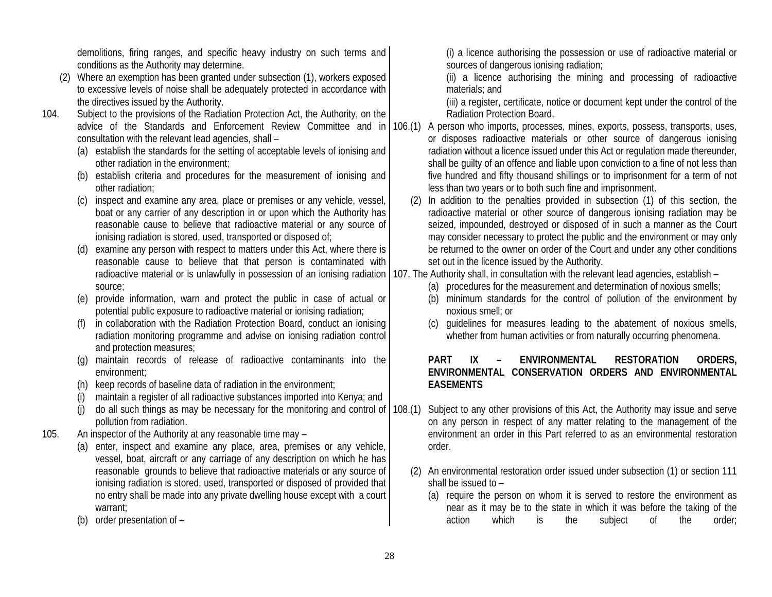demolitions, firing ranges, and specific heavy industry on such terms and conditions as the Authority may determine.

- (2) Where an exemption has been granted under subsection (1), workers exposed to excessive levels of noise shall be adequately protected in accordance with the directives issued by the Authority.
- 104. Subject to the provisions of the Radiation Protection Act, the Authority, on the consultation with the relevant lead agencies, shall –
	- (a) establish the standards for the setting of acceptable levels of ionising and other radiation in the environment;
	- (b) establish criteria and procedures for the measurement of ionising and other radiation;
	- (c) inspect and examine any area, place or premises or any vehicle, vessel, boat or any carrier of any description in or upon which the Authority has reasonable cause to believe that radioactive material or any source of ionising radiation is stored, used, transported or disposed of;
	- (d) examine any person with respect to matters under this Act, where there is reasonable cause to believe that that person is contaminated with radioactive material or is unlawfully in possession of an ionising radiation source;
	- (e) provide information, warn and protect the public in case of actual or potential public exposure to radioactive material or ionising radiation;
	- (f) in collaboration with the Radiation Protection Board, conduct an ionising radiation monitoring programme and advise on ionising radiation control and protection measures;
	- (g) maintain records of release of radioactive contaminants into the environment;
	- (h) keep records of baseline data of radiation in the environment;
	- (i) maintain a register of all radioactive substances imported into Kenya; and
	- do all such things as may be necessary for the monitoring and control of pollution from radiation.
- 105. An inspector of the Authority at any reasonable time may
	- (a) enter, inspect and examine any place, area, premises or any vehicle, vessel, boat, aircraft or any carriage of any description on which he has reasonable grounds to believe that radioactive materials or any source of ionising radiation is stored, used, transported or disposed of provided that no entry shall be made into any private dwelling house except with a court warrant;
	- (b) order presentation of –

(i) a licence authorising the possession or use of radioactive material or sources of dangerous ionising radiation;

(ii) a licence authorising the mining and processing of radioactive materials; and

(iii) a register, certificate, notice or document kept under the control of the Radiation Protection Board.

- advice of the Standards and Enforcement Review Committee and in 106.(1) A person who imports, processes, mines, exports, possess, transports, uses, or disposes radioactive materials or other source of dangerous ionising radiation without a licence issued under this Act or regulation made thereunder, shall be guilty of an offence and liable upon conviction to a fine of not less than five hundred and fifty thousand shillings or to imprisonment for a term of not less than two years or to both such fine and imprisonment.
	- (2) In addition to the penalties provided in subsection (1) of this section, the radioactive material or other source of dangerous ionising radiation may be seized, impounded, destroyed or disposed of in such a manner as the Court may consider necessary to protect the public and the environment or may only be returned to the owner on order of the Court and under any other conditions set out in the licence issued by the Authority.
	- 107. The Authority shall, in consultation with the relevant lead agencies, establish
		- (a) procedures for the measurement and determination of noxious smells;
		- (b) minimum standards for the control of pollution of the environment by noxious smell; or
		- (c) guidelines for measures leading to the abatement of noxious smells, whether from human activities or from naturally occurring phenomena.

#### **PART IX – ENVIRONMENTAL RESTORATION ORDERS, ENVIRONMENTAL CONSERVATION ORDERS AND ENVIRONMENTAL EASEMENTS**

- 108.(1) Subject to any other provisions of this Act, the Authority may issue and serve on any person in respect of any matter relating to the management of the environment an order in this Part referred to as an environmental restoration order.
	- (2) An environmental restoration order issued under subsection (1) or section 111 shall be issued to –
		- (a) require the person on whom it is served to restore the environment as near as it may be to the state in which it was before the taking of the action which is the subject of the order;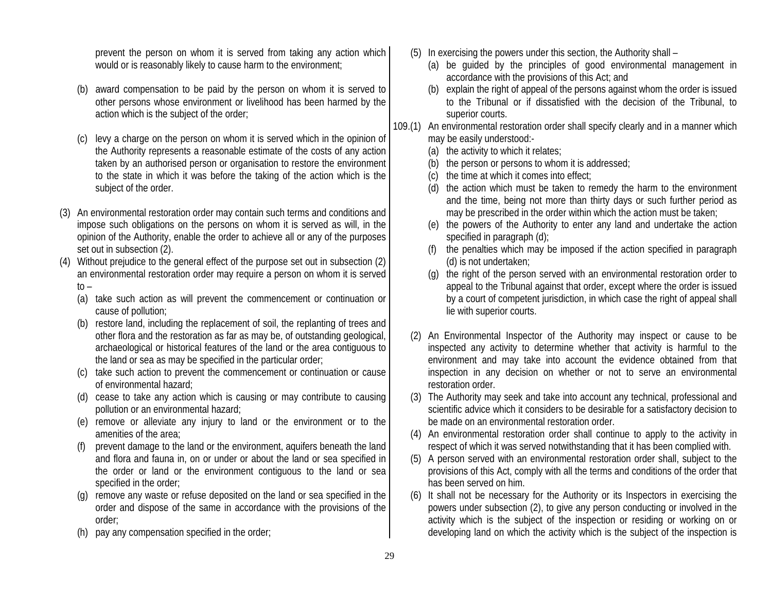prevent the person on whom it is served from taking any action which would or is reasonably likely to cause harm to the environment;

- (b) award compensation to be paid by the person on whom it is served to other persons whose environment or livelihood has been harmed by the action which is the subject of the order;
- (c) levy a charge on the person on whom it is served which in the opinion of the Authority represents a reasonable estimate of the costs of any action taken by an authorised person or organisation to restore the environment to the state in which it was before the taking of the action which is the subject of the order.
- (3) An environmental restoration order may contain such terms and conditions and impose such obligations on the persons on whom it is served as will, in the opinion of the Authority, enable the order to achieve all or any of the purposes set out in subsection (2).
- (4) Without prejudice to the general effect of the purpose set out in subsection (2) an environmental restoration order may require a person on whom it is served  $to -$ 
	- (a) take such action as will prevent the commencement or continuation or cause of pollution;
	- (b) restore land, including the replacement of soil, the replanting of trees and other flora and the restoration as far as may be, of outstanding geological, archaeological or historical features of the land or the area contiguous to the land or sea as may be specified in the particular order;
	- (c) take such action to prevent the commencement or continuation or cause of environmental hazard;
	- (d) cease to take any action which is causing or may contribute to causing pollution or an environmental hazard;
	- (e) remove or alleviate any injury to land or the environment or to the amenities of the area;
	- (f) prevent damage to the land or the environment, aquifers beneath the land and flora and fauna in, on or under or about the land or sea specified in the order or land or the environment contiguous to the land or sea specified in the order;
	- (g) remove any waste or refuse deposited on the land or sea specified in the order and dispose of the same in accordance with the provisions of the order;
	- (h) pay any compensation specified in the order;
- (5) In exercising the powers under this section, the Authority shall
	- (a) be guided by the principles of good environmental management in accordance with the provisions of this Act; and
	- (b) explain the right of appeal of the persons against whom the order is issued to the Tribunal or if dissatisfied with the decision of the Tribunal, to superior courts.
- 109.(1) An environmental restoration order shall specify clearly and in a manner which may be easily understood:-
	- (a) the activity to which it relates;
	- (b) the person or persons to whom it is addressed;
	- (c) the time at which it comes into effect;
	- (d) the action which must be taken to remedy the harm to the environment and the time, being not more than thirty days or such further period as may be prescribed in the order within which the action must be taken;
	- (e) the powers of the Authority to enter any land and undertake the action specified in paragraph (d);
	- (f) the penalties which may be imposed if the action specified in paragraph (d) is not undertaken;
	- (g) the right of the person served with an environmental restoration order to appeal to the Tribunal against that order, except where the order is issued by a court of competent jurisdiction, in which case the right of appeal shall lie with superior courts.
	- (2) An Environmental Inspector of the Authority may inspect or cause to be inspected any activity to determine whether that activity is harmful to the environment and may take into account the evidence obtained from that inspection in any decision on whether or not to serve an environmental restoration order.
	- (3) The Authority may seek and take into account any technical, professional and scientific advice which it considers to be desirable for a satisfactory decision to be made on an environmental restoration order.
	- (4) An environmental restoration order shall continue to apply to the activity in respect of which it was served notwithstanding that it has been complied with.
	- (5) A person served with an environmental restoration order shall, subject to the provisions of this Act, comply with all the terms and conditions of the order that has been served on him.
	- (6) It shall not be necessary for the Authority or its Inspectors in exercising the powers under subsection (2), to give any person conducting or involved in the activity which is the subject of the inspection or residing or working on or developing land on which the activity which is the subject of the inspection is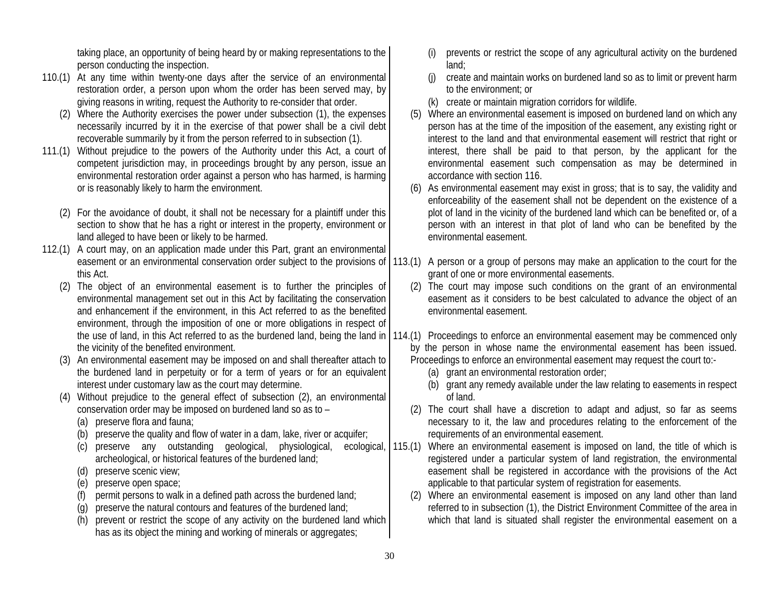taking place, an opportunity of being heard by or making representations to the person conducting the inspection.

- 110.(1) At any time within twenty-one days after the service of an environmental restoration order, a person upon whom the order has been served may, by giving reasons in writing, request the Authority to re-consider that order.
	- (2) Where the Authority exercises the power under subsection (1), the expenses necessarily incurred by it in the exercise of that power shall be a civil debt recoverable summarily by it from the person referred to in subsection (1).
- 111.(1) Without prejudice to the powers of the Authority under this Act, a court of competent jurisdiction may, in proceedings brought by any person, issue an environmental restoration order against a person who has harmed, is harming or is reasonably likely to harm the environment.
	- (2) For the avoidance of doubt, it shall not be necessary for a plaintiff under this section to show that he has a right or interest in the property, environment or land alleged to have been or likely to be harmed.
- 112.(1) A court may, on an application made under this Part, grant an environmental this Act.
	- (2) The object of an environmental easement is to further the principles of environmental management set out in this Act by facilitating the conservation and enhancement if the environment, in this Act referred to as the benefited environment, through the imposition of one or more obligations in respect of the vicinity of the benefited environment.
	- (3) An environmental easement may be imposed on and shall thereafter attach to the burdened land in perpetuity or for a term of years or for an equivalent interest under customary law as the court may determine.
	- (4) Without prejudice to the general effect of subsection (2), an environmental conservation order may be imposed on burdened land so as to –
		- (a) preserve flora and fauna;
		- (b) preserve the quality and flow of water in a dam, lake, river or acquifer;
		- (c) preserve any outstanding geological, physiological, archeological, or historical features of the burdened land;
		- (d) preserve scenic view;
		- (e) preserve open space;
		- (f) permit persons to walk in a defined path across the burdened land;
		- (g) preserve the natural contours and features of the burdened land;
		- (h) prevent or restrict the scope of any activity on the burdened land which has as its object the mining and working of minerals or aggregates;
- (i) prevents or restrict the scope of any agricultural activity on the burdened land;
- (j) create and maintain works on burdened land so as to limit or prevent harm to the environment; or
- (k) create or maintain migration corridors for wildlife.
- (5) Where an environmental easement is imposed on burdened land on which any person has at the time of the imposition of the easement, any existing right or interest to the land and that environmental easement will restrict that right or interest, there shall be paid to that person, by the applicant for the environmental easement such compensation as may be determined in accordance with section 116.
- (6) As environmental easement may exist in gross; that is to say, the validity and enforceability of the easement shall not be dependent on the existence of a plot of land in the vicinity of the burdened land which can be benefited or, of a person with an interest in that plot of land who can be benefited by the environmental easement.
- easement or an environmental conservation order subject to the provisions of  $(113.1)$  A person or a group of persons may make an application to the court for the grant of one or more environmental easements.
	- (2) The court may impose such conditions on the grant of an environmental easement as it considers to be best calculated to advance the object of an environmental easement.
- the use of land, in this Act referred to as the burdened land, being the land in | 114.(1) Proceedings to enforce an environmental easement may be commenced only by the person in whose name the environmental easement has been issued. Proceedings to enforce an environmental easement may request the court to:-
	- (a) grant an environmental restoration order;
	- (b) grant any remedy available under the law relating to easements in respect of land.
	- (2) The court shall have a discretion to adapt and adjust, so far as seems necessary to it, the law and procedures relating to the enforcement of the requirements of an environmental easement.
	- 115.(1) Where an environmental easement is imposed on land, the title of which is registered under a particular system of land registration, the environmental easement shall be registered in accordance with the provisions of the Act applicable to that particular system of registration for easements.
		- (2) Where an environmental easement is imposed on any land other than land referred to in subsection (1), the District Environment Committee of the area in which that land is situated shall register the environmental easement on a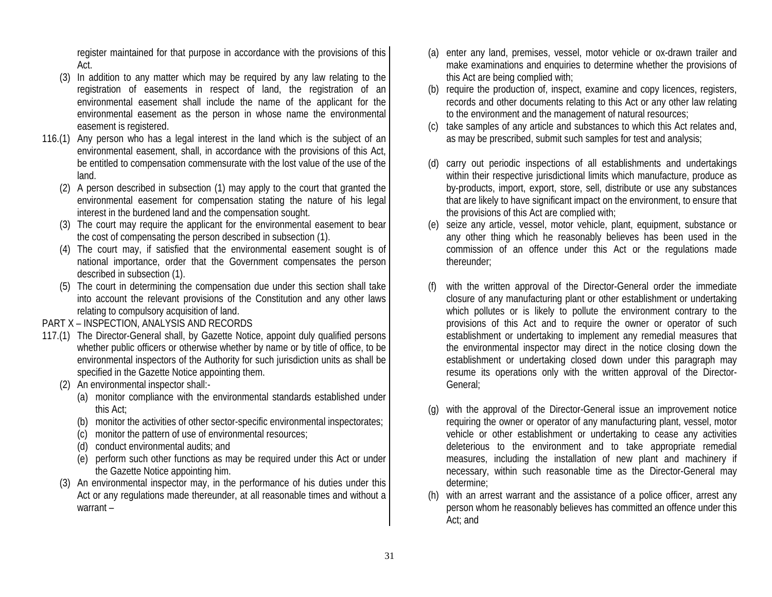register maintained for that purpose in accordance with the provisions of this Act.

- (3) In addition to any matter which may be required by any law relating to the registration of easements in respect of land, the registration of an environmental easement shall include the name of the applicant for the environmental easement as the person in whose name the environmental easement is registered.
- 116.(1) Any person who has a legal interest in the land which is the subject of an environmental easement, shall, in accordance with the provisions of this Act, be entitled to compensation commensurate with the lost value of the use of the land.
	- (2) A person described in subsection (1) may apply to the court that granted the environmental easement for compensation stating the nature of his legal interest in the burdened land and the compensation sought.
	- (3) The court may require the applicant for the environmental easement to bear the cost of compensating the person described in subsection (1).
	- (4) The court may, if satisfied that the environmental easement sought is of national importance, order that the Government compensates the person described in subsection (1).
	- (5) The court in determining the compensation due under this section shall take into account the relevant provisions of the Constitution and any other laws relating to compulsory acquisition of land.

#### PART X – INSPECTION, ANALYSIS AND RECORDS

- 117.(1) The Director-General shall, by Gazette Notice, appoint duly qualified persons whether public officers or otherwise whether by name or by title of office, to be environmental inspectors of the Authority for such jurisdiction units as shall be specified in the Gazette Notice appointing them.
	- (2) An environmental inspector shall:-
		- (a) monitor compliance with the environmental standards established under this Act;
		- (b) monitor the activities of other sector-specific environmental inspectorates;
		- (c) monitor the pattern of use of environmental resources;
		- (d) conduct environmental audits; and
		- (e) perform such other functions as may be required under this Act or under the Gazette Notice appointing him.
	- (3) An environmental inspector may, in the performance of his duties under this Act or any regulations made thereunder, at all reasonable times and without a warrant –
- (a) enter any land, premises, vessel, motor vehicle or ox-drawn trailer and make examinations and enquiries to determine whether the provisions of this Act are being complied with;
- (b) require the production of, inspect, examine and copy licences, registers, records and other documents relating to this Act or any other law relating to the environment and the management of natural resources;
- (c) take samples of any article and substances to which this Act relates and, as may be prescribed, submit such samples for test and analysis;
- (d) carry out periodic inspections of all establishments and undertakings within their respective jurisdictional limits which manufacture, produce as by-products, import, export, store, sell, distribute or use any substances that are likely to have significant impact on the environment, to ensure that the provisions of this Act are complied with;
- (e) seize any article, vessel, motor vehicle, plant, equipment, substance or any other thing which he reasonably believes has been used in the commission of an offence under this Act or the regulations made thereunder;
- with the written approval of the Director-General order the immediate closure of any manufacturing plant or other establishment or undertaking which pollutes or is likely to pollute the environment contrary to the provisions of this Act and to require the owner or operator of such establishment or undertaking to implement any remedial measures that the environmental inspector may direct in the notice closing down the establishment or undertaking closed down under this paragraph may resume its operations only with the written approval of the Director-General;
- with the approval of the Director-General issue an improvement notice requiring the owner or operator of any manufacturing plant, vessel, motor vehicle or other establishment or undertaking to cease any activities deleterious to the environment and to take appropriate remedial measures, including the installation of new plant and machinery if necessary, within such reasonable time as the Director-General may determine;
- (h) with an arrest warrant and the assistance of a police officer, arrest any person whom he reasonably believes has committed an offence under this Act; and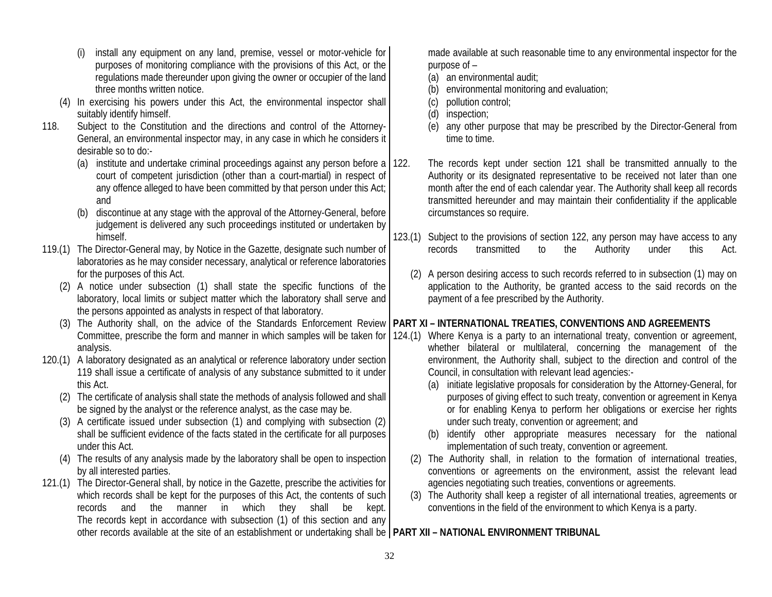| install any equipment on any land, premise, vessel or motor-vehicle for   |  |
|---------------------------------------------------------------------------|--|
| purposes of monitoring compliance with the provisions of this Act, or the |  |
| regulations made thereunder upon giving the owner or occupier of the land |  |
| three months written notice.                                              |  |

- (4) In exercising his powers under this Act, the environmental inspector shall suitably identify himself.
- 118. Subject to the Constitution and the directions and control of the Attorney-General, an environmental inspector may, in any case in which he considers it desirable so to do:-
	- (a) institute and undertake criminal proceedings against any person before a 122. court of competent jurisdiction (other than a court-martial) in respect of any offence alleged to have been committed by that person under this Act; and
	- (b) discontinue at any stage with the approval of the Attorney-General, before judgement is delivered any such proceedings instituted or undertaken by himself.
- 119.(1) The Director-General may, by Notice in the Gazette, designate such number of laboratories as he may consider necessary, analytical or reference laboratories for the purposes of this Act.
	- (2) A notice under subsection (1) shall state the specific functions of the laboratory, local limits or subject matter which the laboratory shall serve and the persons appointed as analysts in respect of that laboratory.
	- (3) The Authority shall, on the advice of the Standards Enforcement Review Committee, prescribe the form and manner in which samples will be taken for analysis.
- 120.(1) A laboratory designated as an analytical or reference laboratory under section 119 shall issue a certificate of analysis of any substance submitted to it under this Act.
	- (2) The certificate of analysis shall state the methods of analysis followed and shall be signed by the analyst or the reference analyst, as the case may be.
	- (3) A certificate issued under subsection (1) and complying with subsection (2) shall be sufficient evidence of the facts stated in the certificate for all purposes under this Act.
	- (4) The results of any analysis made by the laboratory shall be open to inspection by all interested parties.
- 121.(1) The Director-General shall, by notice in the Gazette, prescribe the activities for which records shall be kept for the purposes of this Act, the contents of such records and the manner in which they shall be kept. The records kept in accordance with subsection (1) of this section and any

made available at such reasonable time to any environmental inspector for the purpose of –

- (a) an environmental audit;
- (b) environmental monitoring and evaluation;
- (c) pollution control;
- (d) inspection;
- (e) any other purpose that may be prescribed by the Director-General from time to time.
- The records kept under section 121 shall be transmitted annually to the Authority or its designated representative to be received not later than one month after the end of each calendar year. The Authority shall keep all records transmitted hereunder and may maintain their confidentiality if the applicable circumstances so require.
- 123.(1) Subject to the provisions of section 122, any person may have access to any records transmitted to the Authority under this Act.
	- (2) A person desiring access to such records referred to in subsection (1) may on application to the Authority, be granted access to the said records on the payment of a fee prescribed by the Authority.

# **PART XI – INTERNATIONAL TREATIES, CONVENTIONS AND AGREEMENTS**

- 124.(1) Where Kenya is a party to an international treaty, convention or agreement, whether bilateral or multilateral, concerning the management of the environment, the Authority shall, subject to the direction and control of the Council, in consultation with relevant lead agencies:-
	- (a) initiate legislative proposals for consideration by the Attorney-General, for purposes of giving effect to such treaty, convention or agreement in Kenya or for enabling Kenya to perform her obligations or exercise her rights under such treaty, convention or agreement; and
	- (b) identify other appropriate measures necessary for the national implementation of such treaty, convention or agreement.
	- (2) The Authority shall, in relation to the formation of international treaties, conventions or agreements on the environment, assist the relevant lead agencies negotiating such treaties, conventions or agreements.
	- (3) The Authority shall keep a register of all international treaties, agreements or conventions in the field of the environment to which Kenya is a party.

other records available at the site of an establishment or undertaking shall be **PART XII – NATIONAL ENVIRONMENT TRIBUNAL**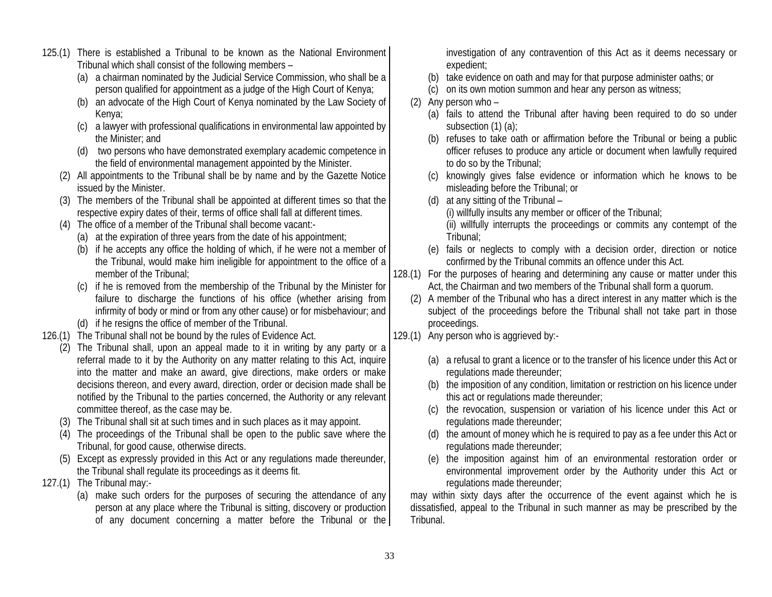- 125.(1) There is established a Tribunal to be known as the National Environment Tribunal which shall consist of the following members –
	- (a) a chairman nominated by the Judicial Service Commission, who shall be a person qualified for appointment as a judge of the High Court of Kenya;
	- (b) an advocate of the High Court of Kenya nominated by the Law Society of Kenya;
	- (c) a lawyer with professional qualifications in environmental law appointed by the Minister; and
	- (d) two persons who have demonstrated exemplary academic competence in the field of environmental management appointed by the Minister.
	- (2) All appointments to the Tribunal shall be by name and by the Gazette Notice issued by the Minister.
	- (3) The members of the Tribunal shall be appointed at different times so that the respective expiry dates of their, terms of office shall fall at different times.
	- (4) The office of a member of the Tribunal shall become vacant:-
		- (a) at the expiration of three years from the date of his appointment;
		- (b) if he accepts any office the holding of which, if he were not a member of the Tribunal, would make him ineligible for appointment to the office of a member of the Tribunal;
		- (c) if he is removed from the membership of the Tribunal by the Minister for failure to discharge the functions of his office (whether arising from infirmity of body or mind or from any other cause) or for misbehaviour; and
		- (d) if he resigns the office of member of the Tribunal.
- 126.(1) The Tribunal shall not be bound by the rules of Evidence Act.
	- (2) The Tribunal shall, upon an appeal made to it in writing by any party or a referral made to it by the Authority on any matter relating to this Act, inquire into the matter and make an award, give directions, make orders or make decisions thereon, and every award, direction, order or decision made shall be notified by the Tribunal to the parties concerned, the Authority or any relevant committee thereof, as the case may be.
	- (3) The Tribunal shall sit at such times and in such places as it may appoint.
	- (4) The proceedings of the Tribunal shall be open to the public save where the Tribunal, for good cause, otherwise directs.
	- (5) Except as expressly provided in this Act or any regulations made thereunder, the Tribunal shall regulate its proceedings as it deems fit.
- 127.(1) The Tribunal may:-
	- (a) make such orders for the purposes of securing the attendance of any person at any place where the Tribunal is sitting, discovery or production of any document concerning a matter before the Tribunal or the

investigation of any contravention of this Act as it deems necessary or expedient;

- (b) take evidence on oath and may for that purpose administer oaths; or
- (c) on its own motion summon and hear any person as witness;
- (2) Any person who
	- (a) fails to attend the Tribunal after having been required to do so under subsection (1) (a);
	- (b) refuses to take oath or affirmation before the Tribunal or being a public officer refuses to produce any article or document when lawfully required to do so by the Tribunal;
	- (c) knowingly gives false evidence or information which he knows to be misleading before the Tribunal; or
	- (d) at any sitting of the Tribunal
		- (i) willfully insults any member or officer of the Tribunal;

(ii) willfully interrupts the proceedings or commits any contempt of the Tribunal;

- (e) fails or neglects to comply with a decision order, direction or notice confirmed by the Tribunal commits an offence under this Act.
- 128.(1) For the purposes of hearing and determining any cause or matter under this Act, the Chairman and two members of the Tribunal shall form a quorum.
	- (2) A member of the Tribunal who has a direct interest in any matter which is the subject of the proceedings before the Tribunal shall not take part in those proceedings.
- 129.(1) Any person who is aggrieved by:-
	- (a) a refusal to grant a licence or to the transfer of his licence under this Act or regulations made thereunder;
	- (b) the imposition of any condition, limitation or restriction on his licence under this act or regulations made thereunder;
	- (c) the revocation, suspension or variation of his licence under this Act or regulations made thereunder;
	- (d) the amount of money which he is required to pay as a fee under this Act or regulations made thereunder;
	- (e) the imposition against him of an environmental restoration order or environmental improvement order by the Authority under this Act or regulations made thereunder;

may within sixty days after the occurrence of the event against which he is dissatisfied, appeal to the Tribunal in such manner as may be prescribed by the Tribunal.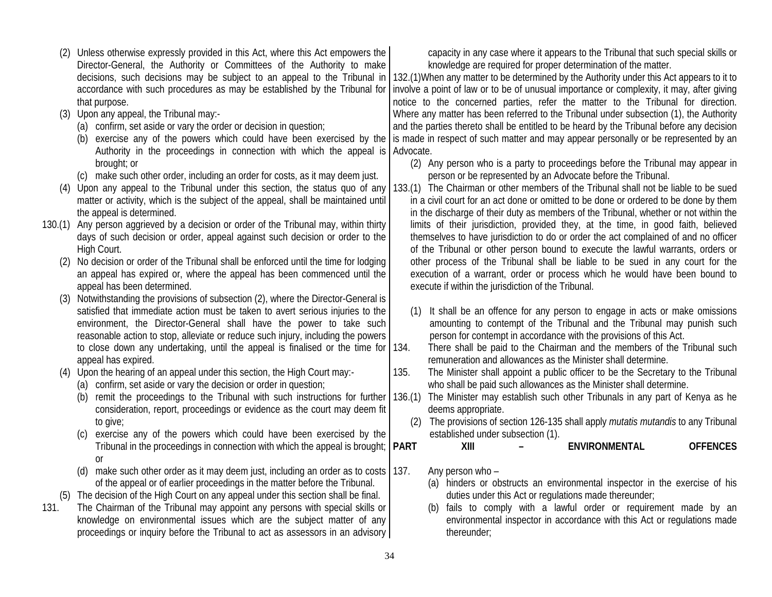- (2) Unless otherwise expressly provided in this Act, where this Act empowers the Director-General, the Authority or Committees of the Authority to make decisions, such decisions may be subject to an appeal to the Tribunal in accordance with such procedures as may be established by the Tribunal for that purpose.
- (3) Upon any appeal, the Tribunal may:-
	- (a) confirm, set aside or vary the order or decision in question;
	- (b) exercise any of the powers which could have been exercised by the Authority in the proceedings in connection with which the appeal is Advocate. brought; or
	- (c) make such other order, including an order for costs, as it may deem just.
- matter or activity, which is the subject of the appeal, shall be maintained until the appeal is determined.
- 130.(1) Any person aggrieved by a decision or order of the Tribunal may, within thirty days of such decision or order, appeal against such decision or order to the High Court.
	- (2) No decision or order of the Tribunal shall be enforced until the time for lodging an appeal has expired or, where the appeal has been commenced until the appeal has been determined.
	- (3) Notwithstanding the provisions of subsection (2), where the Director-General is satisfied that immediate action must be taken to avert serious injuries to the environment, the Director-General shall have the power to take such reasonable action to stop, alleviate or reduce such injury, including the powers to close down any undertaking, until the appeal is finalised or the time for 134. appeal has expired.
	- (4) Upon the hearing of an appeal under this section, the High Court may:-
		- (a) confirm, set aside or vary the decision or order in question;
		- (b) remit the proceedings to the Tribunal with such instructions for further consideration, report, proceedings or evidence as the court may deem fit to give:
		- (c) exercise any of the powers which could have been exercised by the Tribunal in the proceedings in connection with which the appeal is brought; **PART** or
		- (d) make such other order as it may deem just, including an order as to costs  $\vert$  137. of the appeal or of earlier proceedings in the matter before the Tribunal.
	- (5) The decision of the High Court on any appeal under this section shall be final.
- 131. The Chairman of the Tribunal may appoint any persons with special skills or knowledge on environmental issues which are the subject matter of any proceedings or inquiry before the Tribunal to act as assessors in an advisory

capacity in any case where it appears to the Tribunal that such special skills or knowledge are required for proper determination of the matter.

132.(1)When any matter to be determined by the Authority under this Act appears to it to involve a point of law or to be of unusual importance or complexity, it may, after giving notice to the concerned parties, refer the matter to the Tribunal for direction. Where any matter has been referred to the Tribunal under subsection (1), the Authority and the parties thereto shall be entitled to be heard by the Tribunal before any decision is made in respect of such matter and may appear personally or be represented by an

- (2) Any person who is a party to proceedings before the Tribunal may appear in person or be represented by an Advocate before the Tribunal.
- (4) Upon any appeal to the Tribunal under this section, the status quo of any 133.(1) The Chairman or other members of the Tribunal shall not be liable to be sued in a civil court for an act done or omitted to be done or ordered to be done by them in the discharge of their duty as members of the Tribunal, whether or not within the limits of their jurisdiction, provided they, at the time, in good faith, believed themselves to have jurisdiction to do or order the act complained of and no officer of the Tribunal or other person bound to execute the lawful warrants, orders or other process of the Tribunal shall be liable to be sued in any court for the execution of a warrant, order or process which he would have been bound to execute if within the jurisdiction of the Tribunal.
	- (1) It shall be an offence for any person to engage in acts or make omissions amounting to contempt of the Tribunal and the Tribunal may punish such person for contempt in accordance with the provisions of this Act.
	- There shall be paid to the Chairman and the members of the Tribunal such remuneration and allowances as the Minister shall determine.
	- 135. The Minister shall appoint a public officer to be the Secretary to the Tribunal who shall be paid such allowances as the Minister shall determine.
	- 136.(1) The Minister may establish such other Tribunals in any part of Kenya as he deems appropriate.
		- (2) The provisions of section 126-135 shall apply *mutatis mutandis* to any Tribunal established under subsection (1).

**PART 21 III – ENVIRONMENTAL OFFENCES** 

- Any person who  $-$ 
	- (a) hinders or obstructs an environmental inspector in the exercise of his duties under this Act or regulations made thereunder;
	- (b) fails to comply with a lawful order or requirement made by an environmental inspector in accordance with this Act or regulations made thereunder;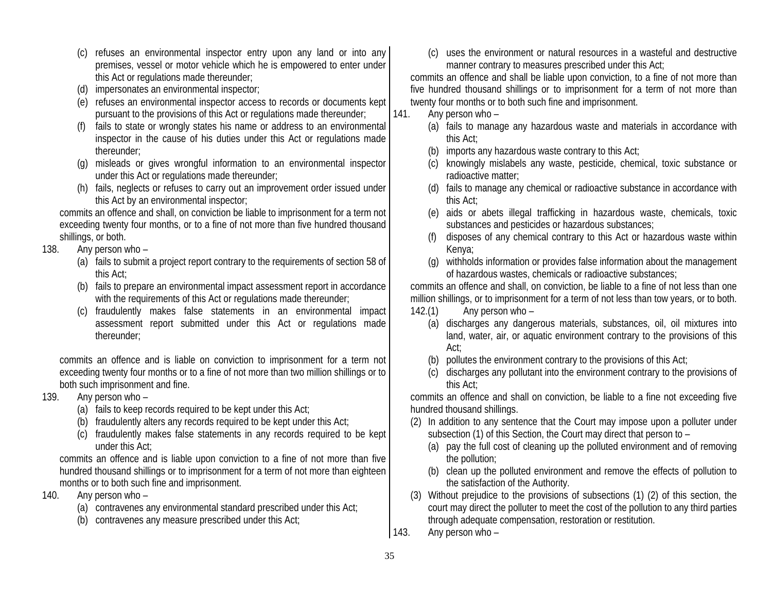- (c) refuses an environmental inspector entry upon any land or into any premises, vessel or motor vehicle which he is empowered to enter under this Act or regulations made thereunder;
- (d) impersonates an environmental inspector;
- (e) refuses an environmental inspector access to records or documents kept pursuant to the provisions of this Act or regulations made thereunder;
- (f) fails to state or wrongly states his name or address to an environmental inspector in the cause of his duties under this Act or regulations made thereunder;
- (g) misleads or gives wrongful information to an environmental inspector under this Act or regulations made thereunder;
- (h) fails, neglects or refuses to carry out an improvement order issued under this Act by an environmental inspector;

commits an offence and shall, on conviction be liable to imprisonment for a term not exceeding twenty four months, or to a fine of not more than five hundred thousand shillings, or both.

- 138. Any person who
	- (a) fails to submit a project report contrary to the requirements of section 58 of this Act;
	- (b) fails to prepare an environmental impact assessment report in accordance with the requirements of this Act or regulations made thereunder;
	- (c) fraudulently makes false statements in an environmental impact assessment report submitted under this Act or regulations made thereunder;

commits an offence and is liable on conviction to imprisonment for a term not exceeding twenty four months or to a fine of not more than two million shillings or to both such imprisonment and fine.

- 139. Any person who
	- (a) fails to keep records required to be kept under this Act;
	- (b) fraudulently alters any records required to be kept under this Act;
	- (c) fraudulently makes false statements in any records required to be kept under this Act;

commits an offence and is liable upon conviction to a fine of not more than five hundred thousand shillings or to imprisonment for a term of not more than eighteen months or to both such fine and imprisonment.

- 140. Any person who
	- (a) contravenes any environmental standard prescribed under this Act;
	- (b) contravenes any measure prescribed under this Act;

(c) uses the environment or natural resources in a wasteful and destructive manner contrary to measures prescribed under this Act;

commits an offence and shall be liable upon conviction, to a fine of not more than five hundred thousand shillings or to imprisonment for a term of not more than twenty four months or to both such fine and imprisonment.

- 141. Any person who
	- (a) fails to manage any hazardous waste and materials in accordance with this Act;
	- (b) imports any hazardous waste contrary to this Act;
	- (c) knowingly mislabels any waste, pesticide, chemical, toxic substance or radioactive matter;
	- (d) fails to manage any chemical or radioactive substance in accordance with this Act;
	- (e) aids or abets illegal trafficking in hazardous waste, chemicals, toxic substances and pesticides or hazardous substances;
	- (f) disposes of any chemical contrary to this Act or hazardous waste within Kenya;
	- (g) withholds information or provides false information about the management of hazardous wastes, chemicals or radioactive substances;

commits an offence and shall, on conviction, be liable to a fine of not less than one million shillings, or to imprisonment for a term of not less than tow years, or to both. 142.(1) Any person who –

- (a) discharges any dangerous materials, substances, oil, oil mixtures into land, water, air, or aquatic environment contrary to the provisions of this Act;
- (b) pollutes the environment contrary to the provisions of this Act;
- (c) discharges any pollutant into the environment contrary to the provisions of this Act;

commits an offence and shall on conviction, be liable to a fine not exceeding five hundred thousand shillings.

- (2) In addition to any sentence that the Court may impose upon a polluter under subsection (1) of this Section, the Court may direct that person to –
	- (a) pay the full cost of cleaning up the polluted environment and of removing the pollution;
	- (b) clean up the polluted environment and remove the effects of pollution to the satisfaction of the Authority.
- (3) Without prejudice to the provisions of subsections (1) (2) of this section, the court may direct the polluter to meet the cost of the pollution to any third parties through adequate compensation, restoration or restitution.
- 143. Any person who –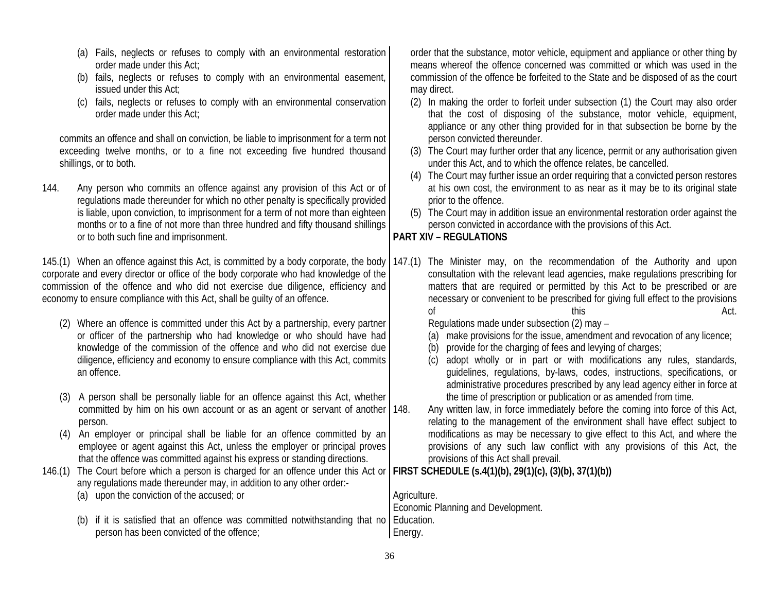(a) Fails, neglects or refuses to comply with an environmental restoration order made under this Act; (b) fails, neglects or refuses to comply with an environmental easement, issued under this Act; (c) fails, neglects or refuses to comply with an environmental conservation order made under this Act; commits an offence and shall on conviction, be liable to imprisonment for a term not exceeding twelve months, or to a fine not exceeding five hundred thousand shillings, or to both. 144. Any person who commits an offence against any provision of this Act or of regulations made thereunder for which no other penalty is specifically provided is liable, upon conviction, to imprisonment for a term of not more than eighteen months or to a fine of not more than three hundred and fifty thousand shillings or to both such fine and imprisonment. 145.(1) When an offence against this Act, is committed by a body corporate, the body | 147.(1) The Minister may, on the recommendation of the Authority and upon corporate and every director or office of the body corporate who had knowledge of the commission of the offence and who did not exercise due diligence, efficiency and economy to ensure compliance with this Act, shall be guilty of an offence. (2) Where an offence is committed under this Act by a partnership, every partner or officer of the partnership who had knowledge or who should have had knowledge of the commission of the offence and who did not exercise due diligence, efficiency and economy to ensure compliance with this Act, commits an offence. (3) A person shall be personally liable for an offence against this Act, whether committed by him on his own account or as an agent or servant of another 148. person. (4) An employer or principal shall be liable for an offence committed by an employee or agent against this Act, unless the employer or principal proves that the offence was committed against his express or standing directions. 146.(1) The Court before which a person is charged for an offence under this Act or any regulations made thereunder may, in addition to any other order:- (a) upon the conviction of the accused; or (b) if it is satisfied that an offence was committed notwithstanding that no person has been convicted of the offence; order that the substance, motor vehicle, equipment and appliance or other thing by means whereof the offence concerned was committed or which was used in the commission of the offence be forfeited to the State and be disposed of as the court may direct. (2) In making the order to forfeit under subsection (1) the Court may also order that the cost of disposing of the substance, motor vehicle, equipment, appliance or any other thing provided for in that subsection be borne by the person convicted thereunder. (3) The Court may further order that any licence, permit or any authorisation given under this Act, and to which the offence relates, be cancelled. (4) The Court may further issue an order requiring that a convicted person restores at his own cost, the environment to as near as it may be to its original state prior to the offence. (5) The Court may in addition issue an environmental restoration order against the person convicted in accordance with the provisions of this Act. **PART XIV – REGULATIONS** consultation with the relevant lead agencies, make regulations prescribing for matters that are required or permitted by this Act to be prescribed or are necessary or convenient to be prescribed for giving full effect to the provisions of this this and the control of the control of the control of the control of the control of the control of the control of the control of the control of the control of the control of the control of the control of the contro Regulations made under subsection (2) may – (a) make provisions for the issue, amendment and revocation of any licence; (b) provide for the charging of fees and levying of charges; (c) adopt wholly or in part or with modifications any rules, standards, guidelines, regulations, by-laws, codes, instructions, specifications, or administrative procedures prescribed by any lead agency either in force at the time of prescription or publication or as amended from time. Any written law, in force immediately before the coming into force of this Act, relating to the management of the environment shall have effect subject to modifications as may be necessary to give effect to this Act, and where the provisions of any such law conflict with any provisions of this Act, the provisions of this Act shall prevail. **FIRST SCHEDULE (s.4(1)(b), 29(1)(c), (3)(b), 37(1)(b))**  Agriculture. Economic Planning and Development. Education. Energy.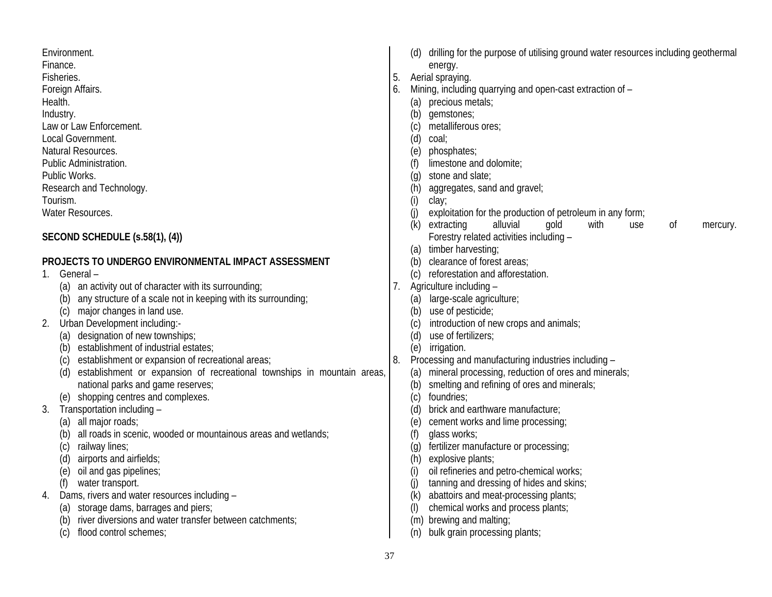| Environment.<br>Finance.<br>Fisheries.<br>Foreign Affairs.<br>Health.<br>Industry.<br>Law or Law Enforcement.<br>Local Government.<br>Natural Resources.<br>Public Administration.<br>Public Works.<br>Research and Technology. | 5.<br>6. | (d) drilling for the purpose of utilising ground water resources including geothermal<br>energy.<br>Aerial spraying.<br>Mining, including quarrying and open-cast extraction of -<br>(a) precious metals;<br>(b) gemstones;<br>metalliferous ores;<br>(c)<br>(d)<br>coal;<br>(e)<br>phosphates;<br>limestone and dolomite;<br>(f)<br>stone and slate;<br>$\left( \mathbf{q} \right)$<br>aggregates, sand and gravel;<br>(h) |
|---------------------------------------------------------------------------------------------------------------------------------------------------------------------------------------------------------------------------------|----------|-----------------------------------------------------------------------------------------------------------------------------------------------------------------------------------------------------------------------------------------------------------------------------------------------------------------------------------------------------------------------------------------------------------------------------|
| Tourism.<br>Water Resources.                                                                                                                                                                                                    |          | (i)<br>clay;<br>(i)<br>exploitation for the production of petroleum in any form;                                                                                                                                                                                                                                                                                                                                            |
| SECOND SCHEDULE (s.58(1), (4))                                                                                                                                                                                                  |          | (k)<br>extracting<br>alluvial<br>with<br>gold<br>0f<br>use<br>mercury.<br>Forestry related activities including -<br>(a) timber harvesting;                                                                                                                                                                                                                                                                                 |
| PROJECTS TO UNDERGO ENVIRONMENTAL IMPACT ASSESSMENT                                                                                                                                                                             |          | (b) clearance of forest areas;                                                                                                                                                                                                                                                                                                                                                                                              |
| General-<br>1.                                                                                                                                                                                                                  |          | (c) reforestation and afforestation.                                                                                                                                                                                                                                                                                                                                                                                        |
| an activity out of character with its surrounding;                                                                                                                                                                              | 7.       | Agriculture including -                                                                                                                                                                                                                                                                                                                                                                                                     |
| any structure of a scale not in keeping with its surrounding;<br>(b)                                                                                                                                                            |          | large-scale agriculture;<br>(a)                                                                                                                                                                                                                                                                                                                                                                                             |
| (c) major changes in land use.<br>Urban Development including:-<br>2.                                                                                                                                                           |          | (b) use of pesticide;<br>introduction of new crops and animals;<br>(c)                                                                                                                                                                                                                                                                                                                                                      |
| (a) designation of new townships;                                                                                                                                                                                               |          | use of fertilizers;<br>(d)                                                                                                                                                                                                                                                                                                                                                                                                  |
| establishment of industrial estates;<br>(b)                                                                                                                                                                                     |          | irrigation.<br>(e)                                                                                                                                                                                                                                                                                                                                                                                                          |
| establishment or expansion of recreational areas;<br>(c)                                                                                                                                                                        | 8.       | Processing and manufacturing industries including -                                                                                                                                                                                                                                                                                                                                                                         |
| establishment or expansion of recreational townships in mountain areas,<br>(d)                                                                                                                                                  |          | (a) mineral processing, reduction of ores and minerals;                                                                                                                                                                                                                                                                                                                                                                     |
| national parks and game reserves;                                                                                                                                                                                               |          | (b) smelting and refining of ores and minerals;                                                                                                                                                                                                                                                                                                                                                                             |
| (e) shopping centres and complexes.                                                                                                                                                                                             |          | foundries;<br>(c)                                                                                                                                                                                                                                                                                                                                                                                                           |
| Transportation including -<br>3.                                                                                                                                                                                                |          | brick and earthware manufacture;<br>(d)                                                                                                                                                                                                                                                                                                                                                                                     |
| all major roads;<br>(a)                                                                                                                                                                                                         |          | cement works and lime processing;<br>(e)                                                                                                                                                                                                                                                                                                                                                                                    |
| all roads in scenic, wooded or mountainous areas and wetlands;<br>(b)                                                                                                                                                           |          | (f)<br>glass works;                                                                                                                                                                                                                                                                                                                                                                                                         |
| railway lines;<br>(c)<br>airports and airfields;                                                                                                                                                                                |          | fertilizer manufacture or processing;<br>$\left( \mathbf{q} \right)$<br>explosive plants;                                                                                                                                                                                                                                                                                                                                   |
| (d)<br>oil and gas pipelines;<br>(e)                                                                                                                                                                                            |          | (h)<br>oil refineries and petro-chemical works;<br>(i)                                                                                                                                                                                                                                                                                                                                                                      |
| water transport.<br>(f)                                                                                                                                                                                                         |          | tanning and dressing of hides and skins;<br>(j)                                                                                                                                                                                                                                                                                                                                                                             |
| Dams, rivers and water resources including -<br>4.                                                                                                                                                                              |          | abattoirs and meat-processing plants;<br>(k)                                                                                                                                                                                                                                                                                                                                                                                |
| storage dams, barrages and piers;<br>(a)                                                                                                                                                                                        |          | chemical works and process plants;<br>(1)                                                                                                                                                                                                                                                                                                                                                                                   |
| river diversions and water transfer between catchments;<br>(b)                                                                                                                                                                  |          | (m) brewing and malting;                                                                                                                                                                                                                                                                                                                                                                                                    |
| flood control schemes;<br>(c)                                                                                                                                                                                                   |          | bulk grain processing plants;<br>(n)                                                                                                                                                                                                                                                                                                                                                                                        |